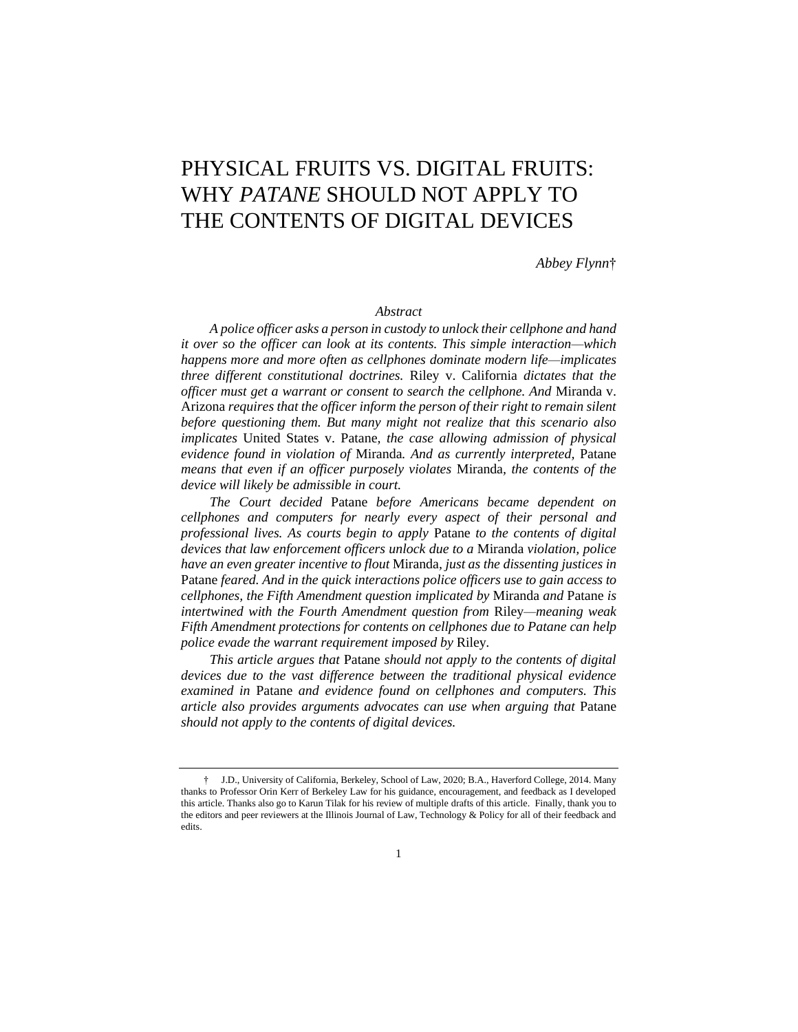# PHYSICAL FRUITS VS. DIGITAL FRUITS: WHY *PATANE* SHOULD NOT APPLY TO THE CONTENTS OF DIGITAL DEVICES

*Abbey Flynn*†

#### *Abstract*

*A police officer asks a person in custody to unlock their cellphone and hand it over so the officer can look at its contents. This simple interaction—which happens more and more often as cellphones dominate modern life—implicates three different constitutional doctrines.* Riley v. California *dictates that the officer must get a warrant or consent to search the cellphone. And* Miranda v. Arizona *requires that the officer inform the person of their right to remain silent before questioning them. But many might not realize that this scenario also implicates* United States v. Patane*, the case allowing admission of physical evidence found in violation of* Miranda*. And as currently interpreted,* Patane *means that even if an officer purposely violates* Miranda*, the contents of the device will likely be admissible in court.*

*The Court decided* Patane *before Americans became dependent on cellphones and computers for nearly every aspect of their personal and professional lives. As courts begin to apply* Patane *to the contents of digital devices that law enforcement officers unlock due to a* Miranda *violation, police have an even greater incentive to flout* Miranda*, just as the dissenting justices in*  Patane *feared. And in the quick interactions police officers use to gain access to cellphones, the Fifth Amendment question implicated by* Miranda *and* Patane *is intertwined with the Fourth Amendment question from* Riley*—meaning weak Fifth Amendment protections for contents on cellphones due to Patane can help police evade the warrant requirement imposed by* Riley*.*

*This article argues that* Patane *should not apply to the contents of digital devices due to the vast difference between the traditional physical evidence examined in* Patane *and evidence found on cellphones and computers. This article also provides arguments advocates can use when arguing that* Patane *should not apply to the contents of digital devices.*

<sup>†</sup> J.D., University of California, Berkeley, School of Law, 2020; B.A., Haverford College, 2014. Many thanks to Professor Orin Kerr of Berkeley Law for his guidance, encouragement, and feedback as I developed this article. Thanks also go to Karun Tilak for his review of multiple drafts of this article. Finally, thank you to the editors and peer reviewers at the Illinois Journal of Law, Technology & Policy for all of their feedback and edits.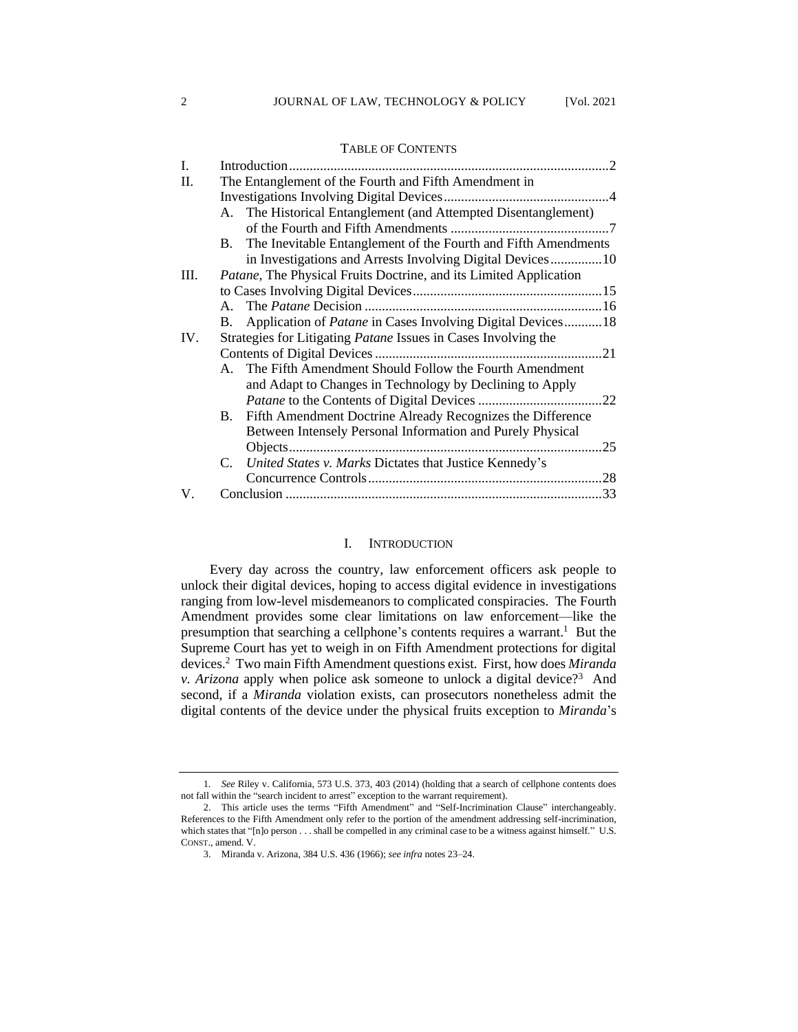TABLE OF CONTENTS

# I. Introduction.............................................................................................2 II. The Entanglement of the Fourth and Fifth Amendment in Investigations Involving Digital Devices................................................4 A. The Historical Entanglement (and Attempted Disentanglement) of the Fourth and Fifth Amendments ..............................................7 B. The Inevitable Entanglement of the Fourth and Fifth Amendments in Investigations and Arrests Involving Digital Devices...............10 III. *Patane*, The Physical Fruits Doctrine, and its Limited Application to Cases Involving Digital Devices.......................................................15 A. The *Patane* Decision .....................................................................16 B. Application of *Patane* in Cases Involving Digital Devices...........18 IV. Strategies for Litigating *Patane* Issues in Cases Involving the Contents of Digital Devices..................................................................21 A. The Fifth Amendment Should Follow the Fourth Amendment and Adapt to Changes in Technology by Declining to Apply *Patane* to the Contents of Digital Devices ....................................22 B. Fifth Amendment Doctrine Already Recognizes the Difference Between Intensely Personal Information and Purely Physical Objects...........................................................................................25 C. *United States v. Marks* Dictates that Justice Kennedy's Concurrence Controls....................................................................28 V. Conclusion ............................................................................................33

#### I. INTRODUCTION

Every day across the country, law enforcement officers ask people to unlock their digital devices, hoping to access digital evidence in investigations ranging from low-level misdemeanors to complicated conspiracies. The Fourth Amendment provides some clear limitations on law enforcement—like the presumption that searching a cellphone's contents requires a warrant.<sup>1</sup> But the Supreme Court has yet to weigh in on Fifth Amendment protections for digital devices.<sup>2</sup> Two main Fifth Amendment questions exist. First, how does *Miranda v. Arizona* apply when police ask someone to unlock a digital device?<sup>3</sup> And second, if a *Miranda* violation exists, can prosecutors nonetheless admit the digital contents of the device under the physical fruits exception to *Miranda*'s

<sup>1</sup>*. See* Riley v. California, 573 U.S. 373, 403 (2014) (holding that a search of cellphone contents does not fall within the "search incident to arrest" exception to the warrant requirement).

<sup>2.</sup> This article uses the terms "Fifth Amendment" and "Self-Incrimination Clause" interchangeably. References to the Fifth Amendment only refer to the portion of the amendment addressing self-incrimination, which states that "[n]o person . . . shall be compelled in any criminal case to be a witness against himself." U.S. CONST., amend. V.

<sup>3.</sup> Miranda v. Arizona, 384 U.S. 436 (1966); *see infra* notes 23–24.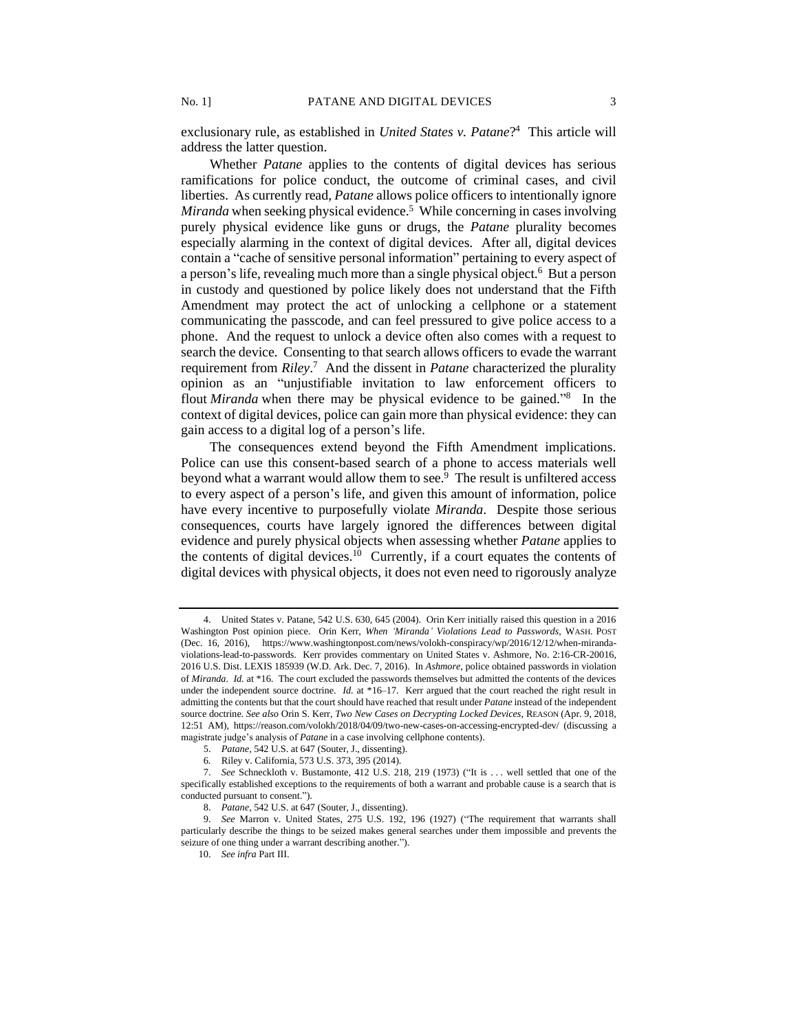exclusionary rule, as established in *United States v. Patane*? <sup>4</sup> This article will address the latter question.

Whether *Patane* applies to the contents of digital devices has serious ramifications for police conduct, the outcome of criminal cases, and civil liberties. As currently read, *Patane* allows police officers to intentionally ignore Miranda when seeking physical evidence.<sup>5</sup> While concerning in cases involving purely physical evidence like guns or drugs, the *Patane* plurality becomes especially alarming in the context of digital devices. After all, digital devices contain a "cache of sensitive personal information" pertaining to every aspect of a person's life, revealing much more than a single physical object.<sup>6</sup> But a person in custody and questioned by police likely does not understand that the Fifth Amendment may protect the act of unlocking a cellphone or a statement communicating the passcode, and can feel pressured to give police access to a phone. And the request to unlock a device often also comes with a request to search the device. Consenting to that search allows officers to evade the warrant requirement from *Riley*. <sup>7</sup> And the dissent in *Patane* characterized the plurality opinion as an "unjustifiable invitation to law enforcement officers to flout *Miranda* when there may be physical evidence to be gained."<sup>8</sup> In the context of digital devices, police can gain more than physical evidence: they can gain access to a digital log of a person's life.

The consequences extend beyond the Fifth Amendment implications. Police can use this consent-based search of a phone to access materials well beyond what a warrant would allow them to see.<sup>9</sup> The result is unfiltered access to every aspect of a person's life, and given this amount of information, police have every incentive to purposefully violate *Miranda*. Despite those serious consequences, courts have largely ignored the differences between digital evidence and purely physical objects when assessing whether *Patane* applies to the contents of digital devices.<sup>10</sup> Currently, if a court equates the contents of digital devices with physical objects, it does not even need to rigorously analyze

<sup>4.</sup> United States v. Patane, 542 U.S. 630, 645 (2004). Orin Kerr initially raised this question in a 2016 Washington Post opinion piece. Orin Kerr, *When 'Miranda' Violations Lead to Passwords*, WASH. POST (Dec. 16, 2016), https://www.washingtonpost.com/news/volokh-conspiracy/wp/2016/12/12/when-mirandaviolations-lead-to-passwords. Kerr provides commentary on United States v. Ashmore, No. 2:16-CR-20016, 2016 U.S. Dist. LEXIS 185939 (W.D. Ark. Dec. 7, 2016). In *Ashmore*, police obtained passwords in violation of *Miranda*. *Id.* at \*16. The court excluded the passwords themselves but admitted the contents of the devices under the independent source doctrine. *Id.* at \*16–17. Kerr argued that the court reached the right result in admitting the contents but that the court should have reached that result under *Patane* instead of the independent source doctrine. *See also* Orin S. Kerr, *Two New Cases on Decrypting Locked Devices*, REASON (Apr. 9, 2018, 12:51 AM), https://reason.com/volokh/2018/04/09/two-new-cases-on-accessing-encrypted-dev/ (discussing a magistrate judge's analysis of *Patane* in a case involving cellphone contents).

<sup>5.</sup> *Patane*, 542 U.S. at 647 (Souter, J., dissenting).

<sup>6</sup>*.* Riley v. California, 573 U.S. 373, 395 (2014).

<sup>7.</sup> *See* Schneckloth v. Bustamonte, 412 U.S. 218, 219 (1973) ("It is . . . well settled that one of the specifically established exceptions to the requirements of both a warrant and probable cause is a search that is conducted pursuant to consent.").

<sup>8.</sup> *Patane*, 542 U.S. at 647 (Souter, J., dissenting).

<sup>9.</sup> *See* Marron v. United States, 275 U.S. 192, 196 (1927) ("The requirement that warrants shall particularly describe the things to be seized makes general searches under them impossible and prevents the seizure of one thing under a warrant describing another.").

<sup>10.</sup> *See infra* Part III.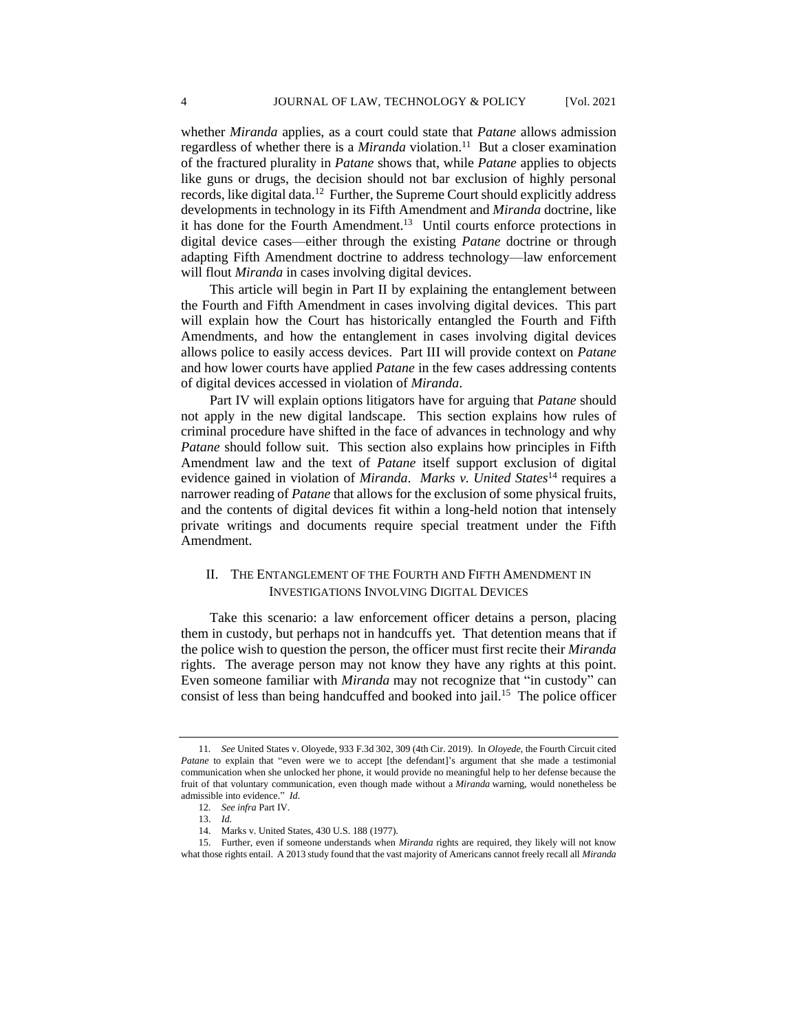whether *Miranda* applies, as a court could state that *Patane* allows admission regardless of whether there is a *Miranda* violation.<sup>11</sup> But a closer examination of the fractured plurality in *Patane* shows that, while *Patane* applies to objects like guns or drugs, the decision should not bar exclusion of highly personal records, like digital data.<sup>12</sup> Further, the Supreme Court should explicitly address developments in technology in its Fifth Amendment and *Miranda* doctrine, like it has done for the Fourth Amendment.<sup>13</sup> Until courts enforce protections in digital device cases—either through the existing *Patane* doctrine or through adapting Fifth Amendment doctrine to address technology—law enforcement will flout *Miranda* in cases involving digital devices.

This article will begin in Part II by explaining the entanglement between the Fourth and Fifth Amendment in cases involving digital devices. This part will explain how the Court has historically entangled the Fourth and Fifth Amendments, and how the entanglement in cases involving digital devices allows police to easily access devices. Part III will provide context on *Patane*  and how lower courts have applied *Patane* in the few cases addressing contents of digital devices accessed in violation of *Miranda*.

Part IV will explain options litigators have for arguing that *Patane* should not apply in the new digital landscape. This section explains how rules of criminal procedure have shifted in the face of advances in technology and why *Patane* should follow suit. This section also explains how principles in Fifth Amendment law and the text of *Patane* itself support exclusion of digital evidence gained in violation of *Miranda*. *Marks v. United States*<sup>14</sup> requires a narrower reading of *Patane* that allows for the exclusion of some physical fruits, and the contents of digital devices fit within a long-held notion that intensely private writings and documents require special treatment under the Fifth Amendment.

# II. THE ENTANGLEMENT OF THE FOURTH AND FIFTH AMENDMENT IN INVESTIGATIONS INVOLVING DIGITAL DEVICES

Take this scenario: a law enforcement officer detains a person, placing them in custody, but perhaps not in handcuffs yet. That detention means that if the police wish to question the person, the officer must first recite their *Miranda* rights. The average person may not know they have any rights at this point. Even someone familiar with *Miranda* may not recognize that "in custody" can consist of less than being handcuffed and booked into jail.<sup>15</sup> The police officer

<sup>11</sup>*. See* United States v. Oloyede, 933 F.3d 302, 309 (4th Cir. 2019). In *Oloyede*, the Fourth Circuit cited *Patane* to explain that "even were we to accept [the defendant]'s argument that she made a testimonial communication when she unlocked her phone, it would provide no meaningful help to her defense because the fruit of that voluntary communication, even though made without a *Miranda* warning, would nonetheless be admissible into evidence." *Id*.

<sup>12</sup>*. See infra* Part IV.

<sup>13.</sup> *Id.*

<sup>14.</sup> Marks v. United States, 430 U.S. 188 (1977).

<sup>15.</sup> Further, even if someone understands when *Miranda* rights are required, they likely will not know what those rights entail. A 2013 study found that the vast majority of Americans cannot freely recall all *Miranda*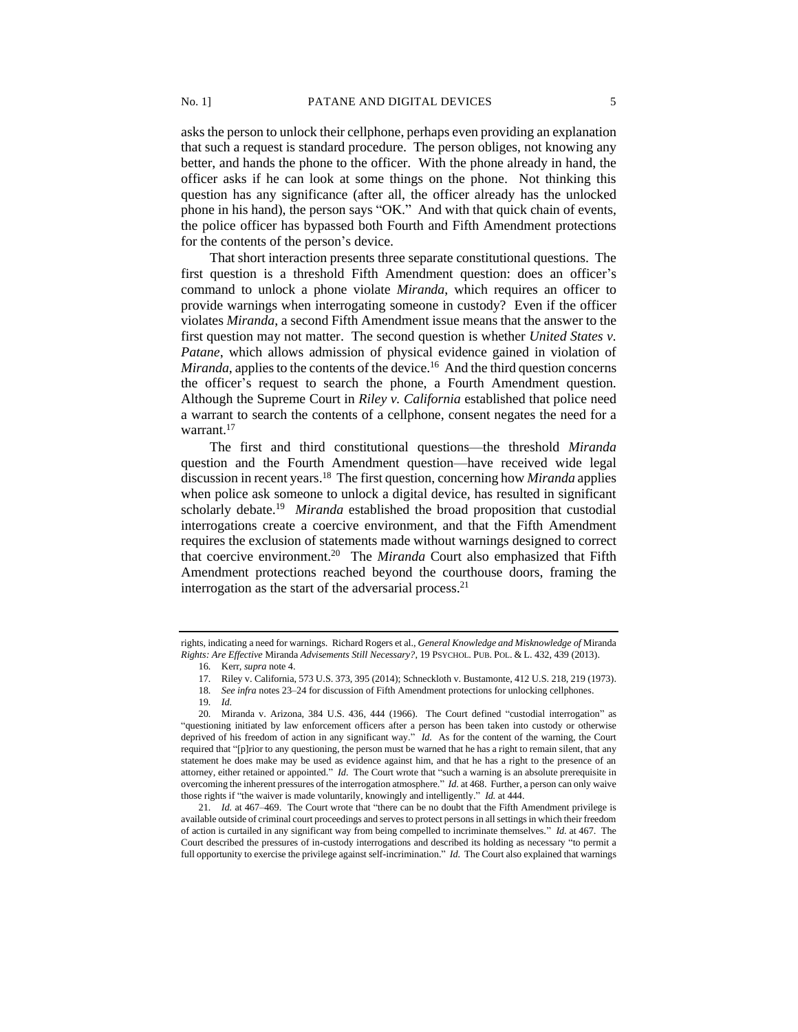asks the person to unlock their cellphone, perhaps even providing an explanation that such a request is standard procedure. The person obliges, not knowing any better, and hands the phone to the officer. With the phone already in hand, the officer asks if he can look at some things on the phone. Not thinking this question has any significance (after all, the officer already has the unlocked phone in his hand), the person says "OK." And with that quick chain of events, the police officer has bypassed both Fourth and Fifth Amendment protections for the contents of the person's device.

That short interaction presents three separate constitutional questions. The first question is a threshold Fifth Amendment question: does an officer's command to unlock a phone violate *Miranda*, which requires an officer to provide warnings when interrogating someone in custody? Even if the officer violates *Miranda*, a second Fifth Amendment issue means that the answer to the first question may not matter. The second question is whether *United States v. Patane*, which allows admission of physical evidence gained in violation of Miranda, applies to the contents of the device.<sup>16</sup> And the third question concerns the officer's request to search the phone, a Fourth Amendment question. Although the Supreme Court in *Riley v. California* established that police need a warrant to search the contents of a cellphone, consent negates the need for a warrant.<sup>17</sup>

The first and third constitutional questions—the threshold *Miranda*  question and the Fourth Amendment question—have received wide legal discussion in recent years.<sup>18</sup> The first question, concerning how *Miranda* applies when police ask someone to unlock a digital device, has resulted in significant scholarly debate.<sup>19</sup> Miranda established the broad proposition that custodial interrogations create a coercive environment, and that the Fifth Amendment requires the exclusion of statements made without warnings designed to correct that coercive environment.<sup>20</sup> The *Miranda* Court also emphasized that Fifth Amendment protections reached beyond the courthouse doors, framing the interrogation as the start of the adversarial process.<sup>21</sup>

rights, indicating a need for warnings. Richard Rogers et al., *General Knowledge and Misknowledge of* Miranda *Rights: Are Effective* Miranda *Advisements Still Necessary?*, 19 PSYCHOL. PUB. POL. & L. 432, 439 (2013).

<sup>16</sup>*.* Kerr, *supra* note 4.

<sup>17</sup>*.* Riley v. California, 573 U.S. 373, 395 (2014); Schneckloth v. Bustamonte, 412 U.S. 218, 219 (1973).

<sup>18</sup>*. See infra* notes 23–24 for discussion of Fifth Amendment protections for unlocking cellphones.

<sup>19</sup>*. Id.*

<sup>20</sup>*.* Miranda v. Arizona, 384 U.S. 436, 444 (1966). The Court defined "custodial interrogation" as "questioning initiated by law enforcement officers after a person has been taken into custody or otherwise deprived of his freedom of action in any significant way." *Id.* As for the content of the warning, the Court required that "[p]rior to any questioning, the person must be warned that he has a right to remain silent, that any statement he does make may be used as evidence against him, and that he has a right to the presence of an attorney, either retained or appointed." *Id.* The Court wrote that "such a warning is an absolute prerequisite in overcoming the inherent pressures of the interrogation atmosphere." *Id.* at 468. Further, a person can only waive those rights if "the waiver is made voluntarily, knowingly and intelligently." *Id.* at 444.

<sup>21</sup>*. Id.* at 467–469. The Court wrote that "there can be no doubt that the Fifth Amendment privilege is available outside of criminal court proceedings and serves to protect persons in all settings in which their freedom of action is curtailed in any significant way from being compelled to incriminate themselves." *Id.* at 467. The Court described the pressures of in-custody interrogations and described its holding as necessary "to permit a full opportunity to exercise the privilege against self-incrimination." *Id.* The Court also explained that warnings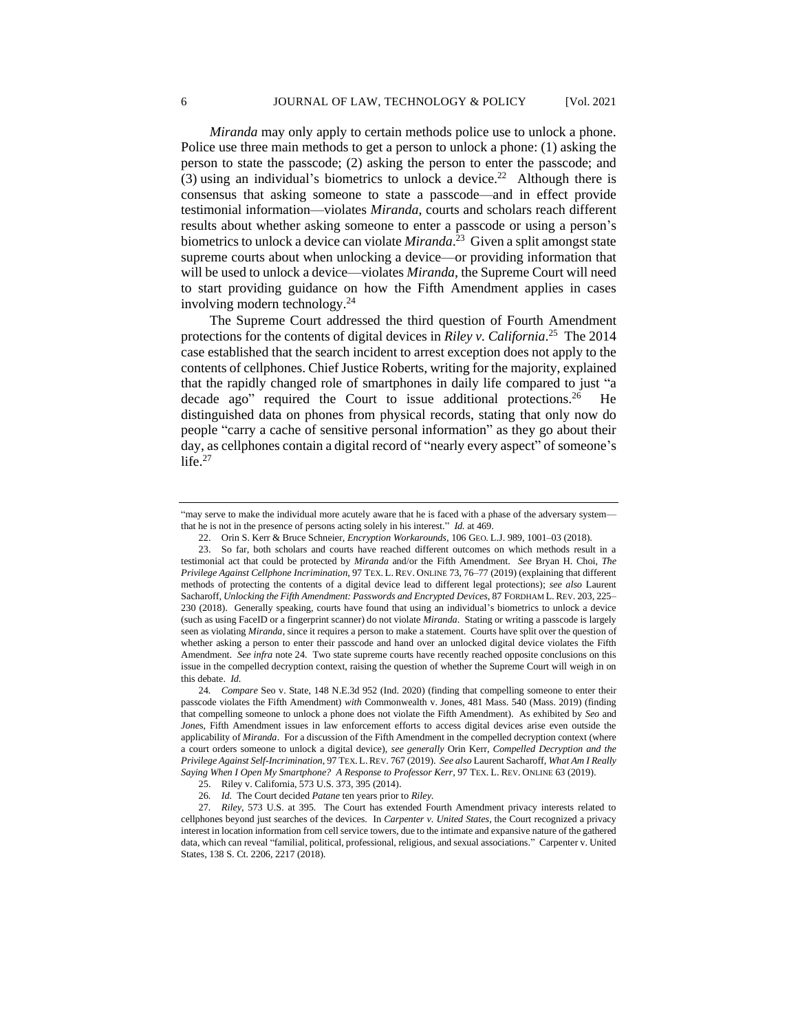*Miranda* may only apply to certain methods police use to unlock a phone. Police use three main methods to get a person to unlock a phone: (1) asking the person to state the passcode; (2) asking the person to enter the passcode; and (3) using an individual's biometrics to unlock a device.<sup>22</sup> Although there is consensus that asking someone to state a passcode—and in effect provide testimonial information—violates *Miranda*, courts and scholars reach different results about whether asking someone to enter a passcode or using a person's biometrics to unlock a device can violate *Miranda*. <sup>23</sup> Given a split amongst state supreme courts about when unlocking a device—or providing information that will be used to unlock a device—violates *Miranda*, the Supreme Court will need to start providing guidance on how the Fifth Amendment applies in cases involving modern technology.<sup>24</sup>

The Supreme Court addressed the third question of Fourth Amendment protections for the contents of digital devices in *Riley v. California*. <sup>25</sup> The 2014 case established that the search incident to arrest exception does not apply to the contents of cellphones. Chief Justice Roberts, writing for the majority, explained that the rapidly changed role of smartphones in daily life compared to just "a decade ago" required the Court to issue additional protections.<sup>26</sup> He distinguished data on phones from physical records, stating that only now do people "carry a cache of sensitive personal information" as they go about their day, as cellphones contain a digital record of "nearly every aspect" of someone's  $l$ ife. $27$ 

<sup>&</sup>quot;may serve to make the individual more acutely aware that he is faced with a phase of the adversary system that he is not in the presence of persons acting solely in his interest." *Id.* at 469.

<sup>22.</sup> Orin S. Kerr & Bruce Schneier, *Encryption Workarounds*, 106 GEO. L.J. 989, 1001–03 (2018).

<sup>23.</sup> So far, both scholars and courts have reached different outcomes on which methods result in a testimonial act that could be protected by *Miranda* and/or the Fifth Amendment. *See* Bryan H. Choi, *The Privilege Against Cellphone Incrimination*, 97 TEX. L. REV. ONLINE 73, 76–77 (2019) (explaining that different methods of protecting the contents of a digital device lead to different legal protections); *see also* Laurent Sacharoff, *Unlocking the Fifth Amendment: Passwords and Encrypted Devices*, 87 FORDHAM L. REV. 203, 225– 230 (2018). Generally speaking, courts have found that using an individual's biometrics to unlock a device (such as using FaceID or a fingerprint scanner) do not violate *Miranda*. Stating or writing a passcode is largely seen as violating *Miranda*, since it requires a person to make a statement. Courts have split over the question of whether asking a person to enter their passcode and hand over an unlocked digital device violates the Fifth Amendment. *See infra* note 24. Two state supreme courts have recently reached opposite conclusions on this issue in the compelled decryption context, raising the question of whether the Supreme Court will weigh in on this debate. *Id.*

<sup>24</sup>*. Compare* Seo v. State, 148 N.E.3d 952 (Ind. 2020) (finding that compelling someone to enter their passcode violates the Fifth Amendment) *with* Commonwealth v. Jones, 481 Mass. 540 (Mass. 2019) (finding that compelling someone to unlock a phone does not violate the Fifth Amendment). As exhibited by *Seo* and *Jone*s, Fifth Amendment issues in law enforcement efforts to access digital devices arise even outside the applicability of *Miranda*. For a discussion of the Fifth Amendment in the compelled decryption context (where a court orders someone to unlock a digital device), *see generally* Orin Kerr, *Compelled Decryption and the Privilege Against Self-Incrimination*, 97 TEX. L.REV. 767 (2019). *See also* Laurent Sacharoff, *What Am I Really Saying When I Open My Smartphone? A Response to Professor Kerr*, 97 TEX. L. REV. ONLINE 63 (2019).

<sup>25.</sup> Riley v. California, 573 U.S. 373, 395 (2014).

<sup>26</sup>*. Id.* The Court decided *Patane* ten years prior to *Riley*.

<sup>27</sup>*. Riley*, 573 U.S. at 395*.* The Court has extended Fourth Amendment privacy interests related to cellphones beyond just searches of the devices. In *Carpenter v. United States*, the Court recognized a privacy interest in location information from cell service towers, due to the intimate and expansive nature of the gathered data, which can reveal "familial, political, professional, religious, and sexual associations." Carpenter v. United States, 138 S. Ct. 2206, 2217 (2018).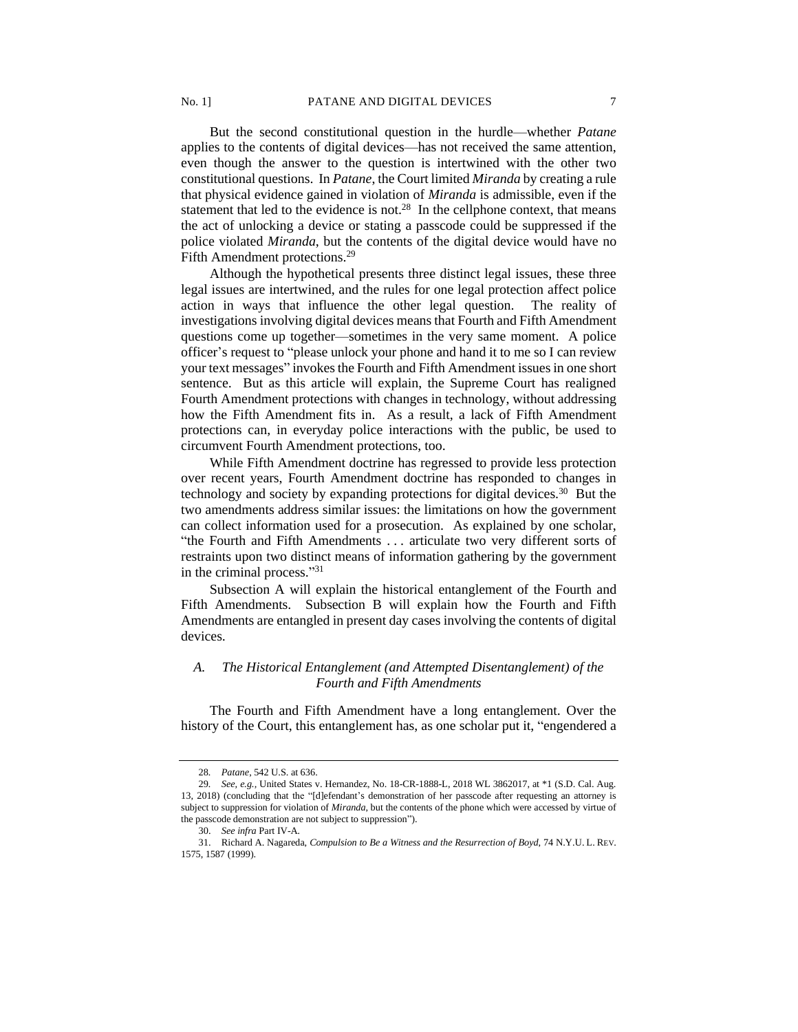But the second constitutional question in the hurdle—whether *Patane* applies to the contents of digital devices—has not received the same attention, even though the answer to the question is intertwined with the other two constitutional questions. In *Patane*, the Court limited *Miranda* by creating a rule that physical evidence gained in violation of *Miranda* is admissible, even if the statement that led to the evidence is not. $28$  In the cellphone context, that means the act of unlocking a device or stating a passcode could be suppressed if the police violated *Miranda*, but the contents of the digital device would have no Fifth Amendment protections.<sup>29</sup>

Although the hypothetical presents three distinct legal issues, these three legal issues are intertwined, and the rules for one legal protection affect police action in ways that influence the other legal question. The reality of investigations involving digital devices means that Fourth and Fifth Amendment questions come up together—sometimes in the very same moment. A police officer's request to "please unlock your phone and hand it to me so I can review your text messages" invokes the Fourth and Fifth Amendment issues in one short sentence. But as this article will explain, the Supreme Court has realigned Fourth Amendment protections with changes in technology, without addressing how the Fifth Amendment fits in. As a result, a lack of Fifth Amendment protections can, in everyday police interactions with the public, be used to circumvent Fourth Amendment protections, too.

While Fifth Amendment doctrine has regressed to provide less protection over recent years, Fourth Amendment doctrine has responded to changes in technology and society by expanding protections for digital devices.<sup>30</sup> But the two amendments address similar issues: the limitations on how the government can collect information used for a prosecution. As explained by one scholar, "the Fourth and Fifth Amendments . . . articulate two very different sorts of restraints upon two distinct means of information gathering by the government in the criminal process." 31

Subsection A will explain the historical entanglement of the Fourth and Fifth Amendments. Subsection B will explain how the Fourth and Fifth Amendments are entangled in present day cases involving the contents of digital devices.

## *A. The Historical Entanglement (and Attempted Disentanglement) of the Fourth and Fifth Amendments*

The Fourth and Fifth Amendment have a long entanglement. Over the history of the Court, this entanglement has, as one scholar put it, "engendered a

<sup>28</sup>*. Patane*, 542 U.S. at 636.

<sup>29</sup>*. See, e.g.,* United States v. Hernandez, No. 18-CR-1888-L, 2018 WL 3862017, at \*1 (S.D. Cal. Aug. 13, 2018) (concluding that the "[d]efendant's demonstration of her passcode after requesting an attorney is subject to suppression for violation of *Miranda*, but the contents of the phone which were accessed by virtue of the passcode demonstration are not subject to suppression").

<sup>30.</sup> *See infra* Part IV-A*.*

<sup>31.</sup> Richard A. Nagareda, *Compulsion to Be a Witness and the Resurrection of Boyd*, 74 N.Y.U. L. REV. 1575, 1587 (1999).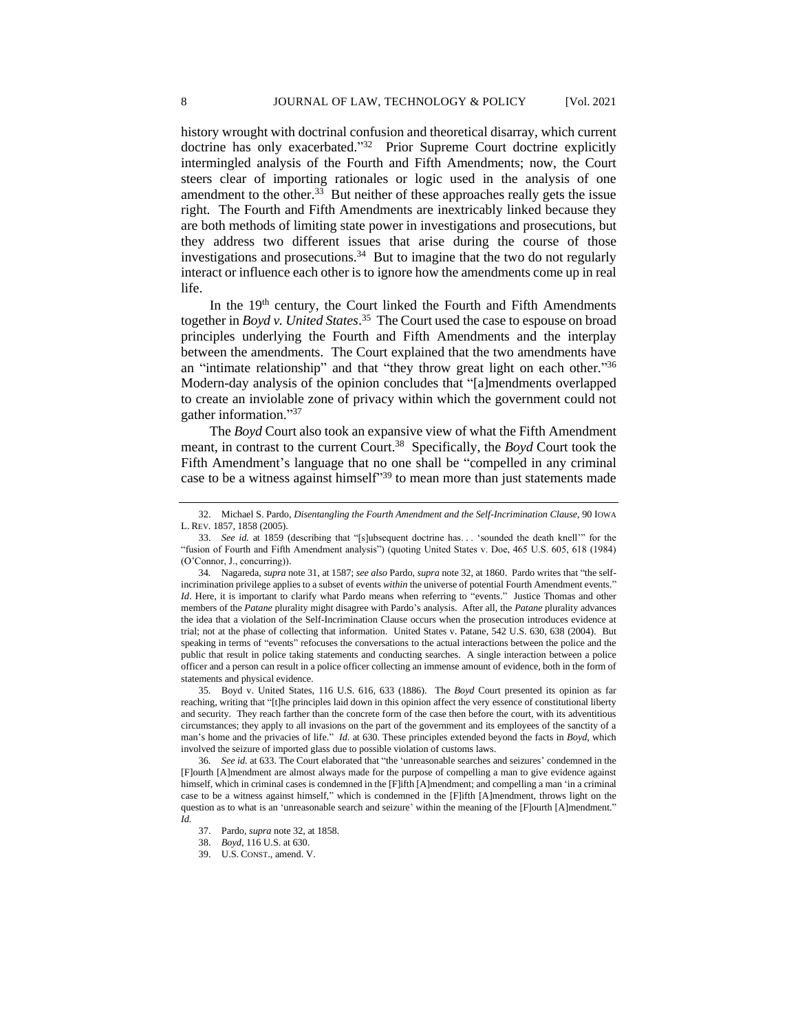history wrought with doctrinal confusion and theoretical disarray, which current doctrine has only exacerbated." 32 Prior Supreme Court doctrine explicitly intermingled analysis of the Fourth and Fifth Amendments; now, the Court steers clear of importing rationales or logic used in the analysis of one amendment to the other. $33$  But neither of these approaches really gets the issue right. The Fourth and Fifth Amendments are inextricably linked because they are both methods of limiting state power in investigations and prosecutions, but they address two different issues that arise during the course of those investigations and prosecutions.<sup>34</sup> But to imagine that the two do not regularly interact or influence each other is to ignore how the amendments come up in real life.

In the  $19<sup>th</sup>$  century, the Court linked the Fourth and Fifth Amendments together in *Boyd v. United States*. 35 The Court used the case to espouse on broad principles underlying the Fourth and Fifth Amendments and the interplay between the amendments. The Court explained that the two amendments have an "intimate relationship" and that "they throw great light on each other."<sup>36</sup> Modern-day analysis of the opinion concludes that "[a]mendments overlapped to create an inviolable zone of privacy within which the government could not gather information." 37

The *Boyd* Court also took an expansive view of what the Fifth Amendment meant, in contrast to the current Court.<sup>38</sup> Specifically, the *Boyd* Court took the Fifth Amendment's language that no one shall be "compelled in any criminal case to be a witness against himself<sup>339</sup> to mean more than just statements made

35*.* Boyd v. United States, 116 U.S. 616, 633 (1886). The *Boyd* Court presented its opinion as far reaching, writing that "[t]he principles laid down in this opinion affect the very essence of constitutional liberty and security. They reach farther than the concrete form of the case then before the court, with its adventitious circumstances; they apply to all invasions on the part of the government and its employees of the sanctity of a man's home and the privacies of life." *Id.* at 630. These principles extended beyond the facts in *Boyd*, which involved the seizure of imported glass due to possible violation of customs laws.

36*. See id.* at 633. The Court elaborated that "the 'unreasonable searches and seizures' condemned in the [F]ourth [A]mendment are almost always made for the purpose of compelling a man to give evidence against himself, which in criminal cases is condemned in the [F]ifth [A]mendment; and compelling a man 'in a criminal case to be a witness against himself," which is condemned in the [F]ifth [A]mendment, throws light on the question as to what is an 'unreasonable search and seizure' within the meaning of the [F]ourth [A]mendment." *Id.*

<sup>32.</sup> Michael S. Pardo, *Disentangling the Fourth Amendment and the Self-Incrimination Clause*, 90 IOWA L. REV. 1857, 1858 (2005).

<sup>33.</sup> *See id.* at 1859 (describing that "[s]ubsequent doctrine has. . . 'sounded the death knell'" for the "fusion of Fourth and Fifth Amendment analysis") (quoting United States v. Doe, 465 U.S. 605, 618 (1984) (O'Connor, J., concurring)).

<sup>34</sup>*.* Nagareda, *supra* note 31, at 1587; *see also* Pardo, *supra* note 32, at 1860. Pardo writes that "the selfincrimination privilege applies to a subset of events *within* the universe of potential Fourth Amendment events." *Id*. Here, it is important to clarify what Pardo means when referring to "events." Justice Thomas and other members of the *Patane* plurality might disagree with Pardo's analysis. After all, the *Patane* plurality advances the idea that a violation of the Self-Incrimination Clause occurs when the prosecution introduces evidence at trial; not at the phase of collecting that information. United States v. Patane, 542 U.S. 630, 638 (2004). But speaking in terms of "events" refocuses the conversations to the actual interactions between the police and the public that result in police taking statements and conducting searches. A single interaction between a police officer and a person can result in a police officer collecting an immense amount of evidence, both in the form of statements and physical evidence.

<sup>37.</sup> Pardo, *supra* note 32, at 1858.

<sup>38.</sup> *Boyd*, 116 U.S. at 630.

<sup>39.</sup> U.S. CONST., amend. V.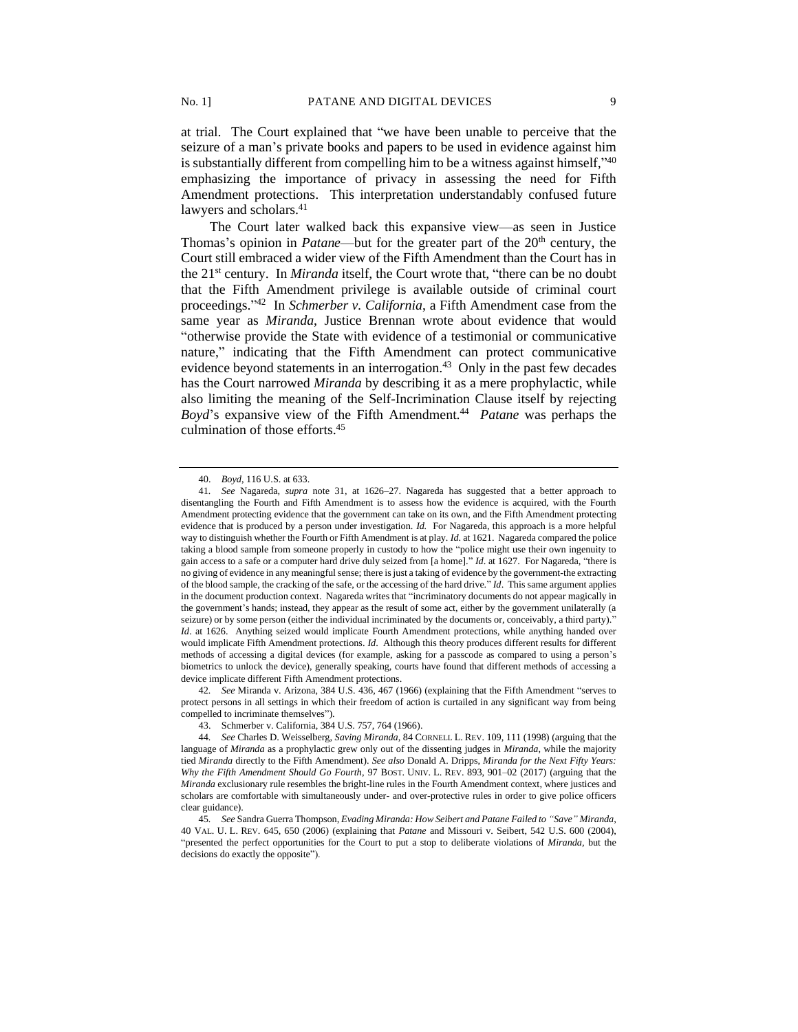at trial. The Court explained that "we have been unable to perceive that the seizure of a man's private books and papers to be used in evidence against him is substantially different from compelling him to be a witness against himself,"40 emphasizing the importance of privacy in assessing the need for Fifth Amendment protections. This interpretation understandably confused future lawyers and scholars.<sup>41</sup>

The Court later walked back this expansive view—as seen in Justice Thomas's opinion in *Patane*—but for the greater part of the 20<sup>th</sup> century, the Court still embraced a wider view of the Fifth Amendment than the Court has in the 21st century. In *Miranda* itself, the Court wrote that, "there can be no doubt that the Fifth Amendment privilege is available outside of criminal court proceedings." 42 In *Schmerber v. California*, a Fifth Amendment case from the same year as *Miranda*, Justice Brennan wrote about evidence that would "otherwise provide the State with evidence of a testimonial or communicative nature," indicating that the Fifth Amendment can protect communicative evidence beyond statements in an interrogation.<sup>43</sup> Only in the past few decades has the Court narrowed *Miranda* by describing it as a mere prophylactic, while also limiting the meaning of the Self-Incrimination Clause itself by rejecting Boyd's expansive view of the Fifth Amendment.<sup>44</sup> Patane was perhaps the culmination of those efforts.<sup>45</sup>

42*. See* Miranda v. Arizona, 384 U.S. 436, 467 (1966) (explaining that the Fifth Amendment "serves to protect persons in all settings in which their freedom of action is curtailed in any significant way from being compelled to incriminate themselves").

43. Schmerber v. California, 384 U.S. 757, 764 (1966).

<sup>40.</sup> *Boyd*, 116 U.S. at 633.

<sup>41</sup>*. See* Nagareda, *supra* note 31, at 1626–27. Nagareda has suggested that a better approach to disentangling the Fourth and Fifth Amendment is to assess how the evidence is acquired, with the Fourth Amendment protecting evidence that the government can take on its own, and the Fifth Amendment protecting evidence that is produced by a person under investigation. *Id.* For Nagareda, this approach is a more helpful way to distinguish whether the Fourth or Fifth Amendment is at play. *Id*. at 1621. Nagareda compared the police taking a blood sample from someone properly in custody to how the "police might use their own ingenuity to gain access to a safe or a computer hard drive duly seized from [a home]." *Id*. at 1627. For Nagareda, "there is no giving of evidence in any meaningful sense; there is just a taking of evidence by the government-the extracting of the blood sample, the cracking of the safe, or the accessing of the hard drive." *Id*. This same argument applies in the document production context. Nagareda writes that "incriminatory documents do not appear magically in the government's hands; instead, they appear as the result of some act, either by the government unilaterally (a seizure) or by some person (either the individual incriminated by the documents or, conceivably, a third party)." *Id*. at 1626. Anything seized would implicate Fourth Amendment protections, while anything handed over would implicate Fifth Amendment protections. *Id*. Although this theory produces different results for different methods of accessing a digital devices (for example, asking for a passcode as compared to using a person's biometrics to unlock the device), generally speaking, courts have found that different methods of accessing a device implicate different Fifth Amendment protections.

<sup>44</sup>*. See* Charles D. Weisselberg, *Saving Miranda*, 84 CORNELL L. REV. 109, 111 (1998) (arguing that the language of *Miranda* as a prophylactic grew only out of the dissenting judges in *Miranda*, while the majority tied *Miranda* directly to the Fifth Amendment). *See also* Donald A. Dripps, *Miranda for the Next Fifty Years: Why the Fifth Amendment Should Go Fourth*, 97 BOST. UNIV. L. REV. 893, 901–02 (2017) (arguing that the *Miranda* exclusionary rule resembles the bright-line rules in the Fourth Amendment context, where justices and scholars are comfortable with simultaneously under- and over-protective rules in order to give police officers clear guidance).

<sup>45</sup>*. See* Sandra Guerra Thompson, *Evading Miranda: How Seibert and Patane Failed to "Save" Miranda*, 40 VAL. U. L. REV. 645, 650 (2006) (explaining that *Patane* and Missouri v. Seibert, 542 U.S. 600 (2004), "presented the perfect opportunities for the Court to put a stop to deliberate violations of *Miranda,* but the decisions do exactly the opposite").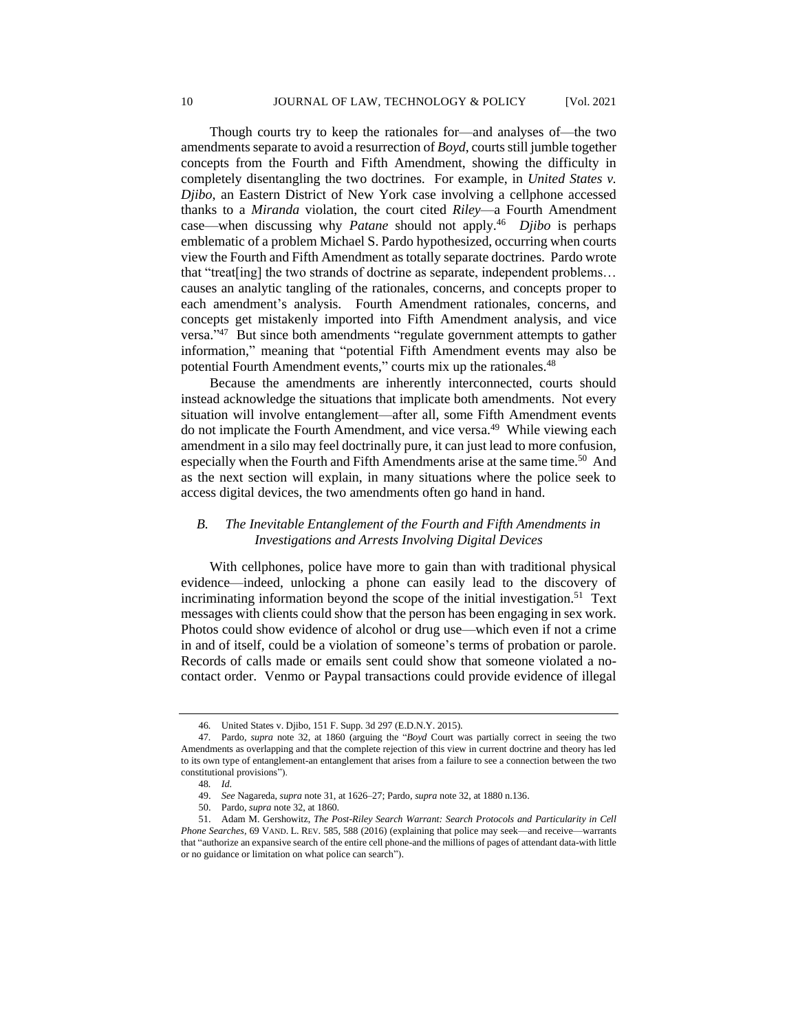Though courts try to keep the rationales for—and analyses of—the two amendments separate to avoid a resurrection of *Boyd*, courts still jumble together concepts from the Fourth and Fifth Amendment, showing the difficulty in completely disentangling the two doctrines. For example, in *United States v. Djibo*, an Eastern District of New York case involving a cellphone accessed thanks to a *Miranda* violation, the court cited *Riley*—a Fourth Amendment case—when discussing why *Patane* should not apply.<sup>46</sup> *Djibo* is perhaps emblematic of a problem Michael S. Pardo hypothesized, occurring when courts view the Fourth and Fifth Amendment as totally separate doctrines. Pardo wrote that "treat[ing] the two strands of doctrine as separate, independent problems… causes an analytic tangling of the rationales, concerns, and concepts proper to each amendment's analysis. Fourth Amendment rationales, concerns, and concepts get mistakenly imported into Fifth Amendment analysis, and vice versa."<sup>47</sup> But since both amendments "regulate government attempts to gather information," meaning that "potential Fifth Amendment events may also be potential Fourth Amendment events," courts mix up the rationales.<sup>48</sup>

Because the amendments are inherently interconnected, courts should instead acknowledge the situations that implicate both amendments. Not every situation will involve entanglement—after all, some Fifth Amendment events do not implicate the Fourth Amendment, and vice versa.<sup>49</sup> While viewing each amendment in a silo may feel doctrinally pure, it can just lead to more confusion, especially when the Fourth and Fifth Amendments arise at the same time.<sup>50</sup> And as the next section will explain, in many situations where the police seek to access digital devices, the two amendments often go hand in hand.

# *B. The Inevitable Entanglement of the Fourth and Fifth Amendments in Investigations and Arrests Involving Digital Devices*

With cellphones, police have more to gain than with traditional physical evidence—indeed, unlocking a phone can easily lead to the discovery of incriminating information beyond the scope of the initial investigation.<sup>51</sup> Text messages with clients could show that the person has been engaging in sex work. Photos could show evidence of alcohol or drug use—which even if not a crime in and of itself, could be a violation of someone's terms of probation or parole. Records of calls made or emails sent could show that someone violated a nocontact order. Venmo or Paypal transactions could provide evidence of illegal

<sup>46</sup>*.* United States v. Djibo, 151 F. Supp. 3d 297 (E.D.N.Y. 2015).

<sup>47</sup>*.* Pardo, *supra* note 32, at 1860 (arguing the "*Boyd* Court was partially correct in seeing the two Amendments as overlapping and that the complete rejection of this view in current doctrine and theory has led to its own type of entanglement-an entanglement that arises from a failure to see a connection between the two constitutional provisions").

<sup>48</sup>*. Id.*

<sup>49.</sup> *See* Nagareda, *supra* note 31, at 1626–27; Pardo, *supra* note 32, at 1880 n.136.

<sup>50.</sup> Pardo, *supra* note 32, at 1860.

<sup>51.</sup> Adam M. Gershowitz, *The Post-Riley Search Warrant: Search Protocols and Particularity in Cell Phone Searches*, 69 VAND. L. REV. 585, 588 (2016) (explaining that police may seek—and receive—warrants that "authorize an expansive search of the entire cell phone-and the millions of pages of attendant data-with little or no guidance or limitation on what police can search").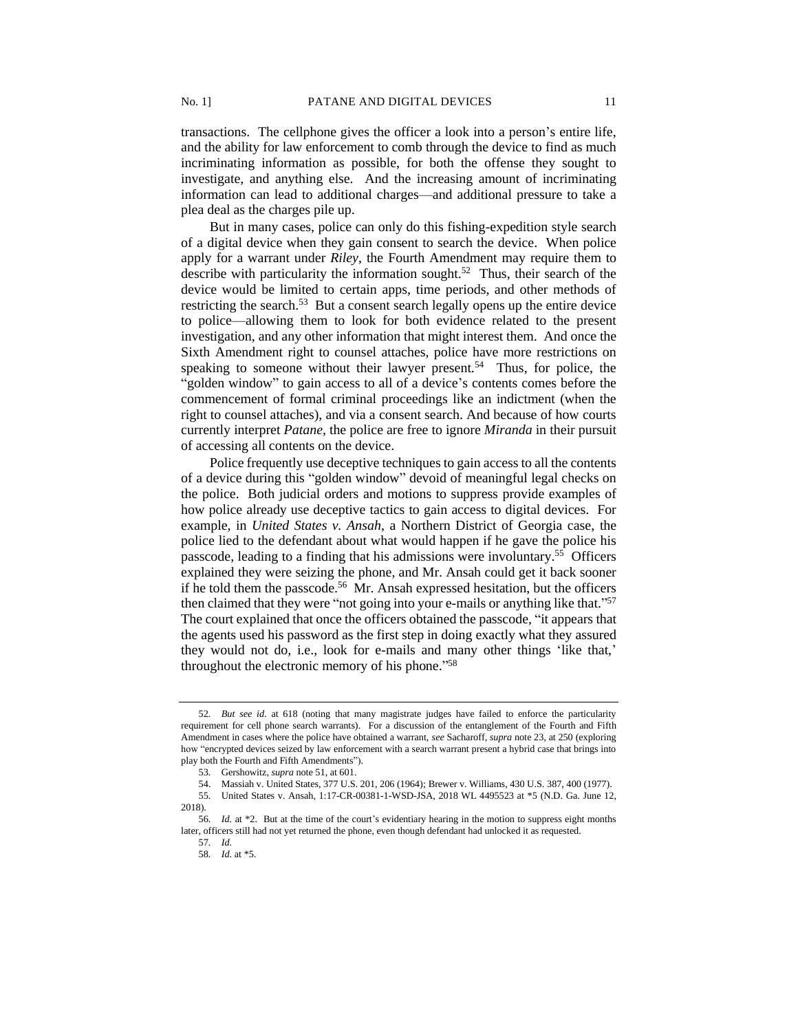transactions. The cellphone gives the officer a look into a person's entire life, and the ability for law enforcement to comb through the device to find as much incriminating information as possible, for both the offense they sought to investigate, and anything else. And the increasing amount of incriminating information can lead to additional charges—and additional pressure to take a plea deal as the charges pile up.

But in many cases, police can only do this fishing-expedition style search of a digital device when they gain consent to search the device. When police apply for a warrant under *Riley*, the Fourth Amendment may require them to describe with particularity the information sought.<sup>52</sup> Thus, their search of the device would be limited to certain apps, time periods, and other methods of restricting the search.<sup>53</sup> But a consent search legally opens up the entire device to police—allowing them to look for both evidence related to the present investigation, and any other information that might interest them. And once the Sixth Amendment right to counsel attaches, police have more restrictions on speaking to someone without their lawyer present.<sup>54</sup> Thus, for police, the "golden window" to gain access to all of a device's contents comes before the commencement of formal criminal proceedings like an indictment (when the right to counsel attaches), and via a consent search. And because of how courts currently interpret *Patane*, the police are free to ignore *Miranda* in their pursuit of accessing all contents on the device.

Police frequently use deceptive techniques to gain access to all the contents of a device during this "golden window" devoid of meaningful legal checks on the police. Both judicial orders and motions to suppress provide examples of how police already use deceptive tactics to gain access to digital devices. For example, in *United States v. Ansah*, a Northern District of Georgia case, the police lied to the defendant about what would happen if he gave the police his passcode, leading to a finding that his admissions were involuntary.<sup>55</sup> Officers explained they were seizing the phone, and Mr. Ansah could get it back sooner if he told them the passcode.<sup>56</sup> Mr. Ansah expressed hesitation, but the officers then claimed that they were "not going into your e-mails or anything like that." 57 The court explained that once the officers obtained the passcode, "it appears that the agents used his password as the first step in doing exactly what they assured they would not do, i.e., look for e-mails and many other things 'like that,' throughout the electronic memory of his phone." 58

<sup>52</sup>*. But see id.* at 618 (noting that many magistrate judges have failed to enforce the particularity requirement for cell phone search warrants). For a discussion of the entanglement of the Fourth and Fifth Amendment in cases where the police have obtained a warrant, *see* Sacharoff, *supra* note 23, at 250 (exploring how "encrypted devices seized by law enforcement with a search warrant present a hybrid case that brings into play both the Fourth and Fifth Amendments").

<sup>53</sup>*.* Gershowitz, *supra* note 51, at 601.

<sup>54.</sup> Massiah v. United States, 377 U.S. 201, 206 (1964); Brewer v. Williams, 430 U.S. 387, 400 (1977).

<sup>55</sup>*.* United States v. Ansah, 1:17-CR-00381-1-WSD-JSA, 2018 WL 4495523 at \*5 (N.D. Ga. June 12, 2018).

<sup>56</sup>*. Id.* at \*2. But at the time of the court's evidentiary hearing in the motion to suppress eight months later, officers still had not yet returned the phone, even though defendant had unlocked it as requested.

<sup>57</sup>*. Id.*

<sup>58</sup>*. Id.* at \*5.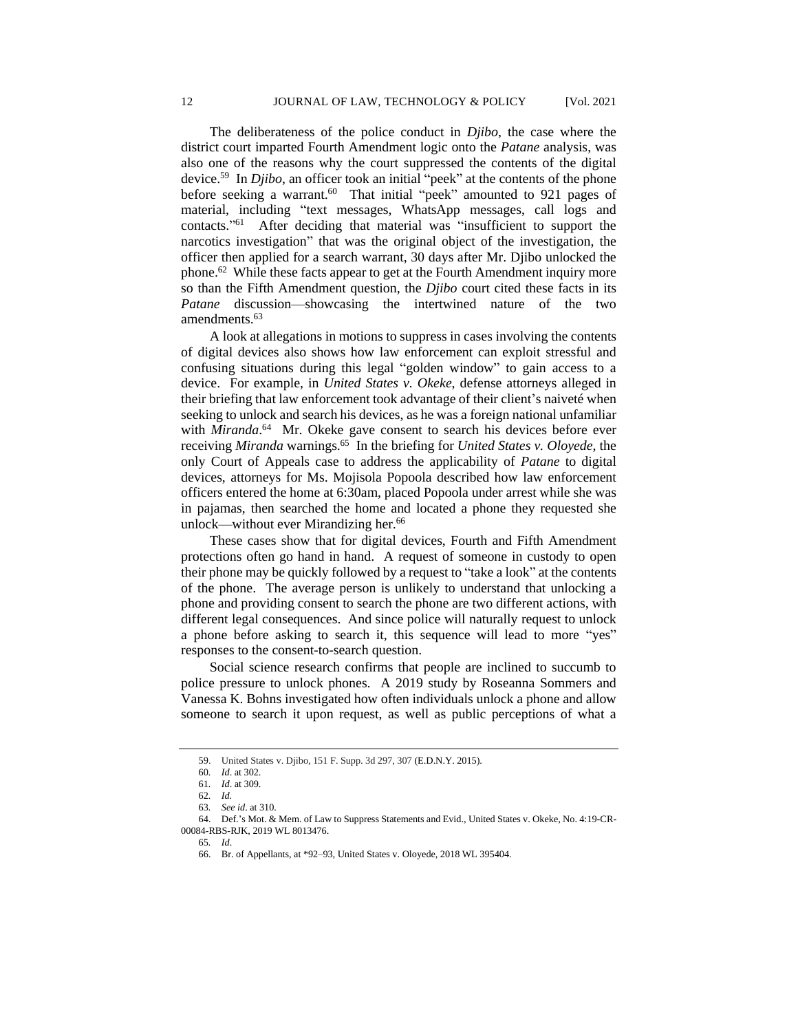The deliberateness of the police conduct in *Djibo*, the case where the district court imparted Fourth Amendment logic onto the *Patane* analysis, was also one of the reasons why the court suppressed the contents of the digital device.<sup>59</sup> In *Djibo*, an officer took an initial "peek" at the contents of the phone before seeking a warrant.<sup>60</sup> That initial "peek" amounted to 921 pages of material, including "text messages, WhatsApp messages, call logs and contacts." 61 After deciding that material was "insufficient to support the narcotics investigation" that was the original object of the investigation, the officer then applied for a search warrant, 30 days after Mr. Djibo unlocked the phone.<sup>62</sup> While these facts appear to get at the Fourth Amendment inquiry more so than the Fifth Amendment question, the *Djibo* court cited these facts in its *Patane* discussion—showcasing the intertwined nature of the two amendments.<sup>63</sup>

A look at allegations in motions to suppress in cases involving the contents of digital devices also shows how law enforcement can exploit stressful and confusing situations during this legal "golden window" to gain access to a device. For example, in *United States v. Okeke*, defense attorneys alleged in their briefing that law enforcement took advantage of their client's naiveté when seeking to unlock and search his devices, as he was a foreign national unfamiliar with *Miranda*.<sup>64</sup> Mr. Okeke gave consent to search his devices before ever receiving *Miranda* warnings.<sup>65</sup> In the briefing for *United States v. Oloyede*, the only Court of Appeals case to address the applicability of *Patane* to digital devices, attorneys for Ms. Mojisola Popoola described how law enforcement officers entered the home at 6:30am, placed Popoola under arrest while she was in pajamas, then searched the home and located a phone they requested she unlock—without ever Mirandizing her.<sup>66</sup>

These cases show that for digital devices, Fourth and Fifth Amendment protections often go hand in hand. A request of someone in custody to open their phone may be quickly followed by a request to "take a look" at the contents of the phone. The average person is unlikely to understand that unlocking a phone and providing consent to search the phone are two different actions, with different legal consequences. And since police will naturally request to unlock a phone before asking to search it, this sequence will lead to more "yes" responses to the consent-to-search question.

Social science research confirms that people are inclined to succumb to police pressure to unlock phones. A 2019 study by Roseanna Sommers and Vanessa K. Bohns investigated how often individuals unlock a phone and allow someone to search it upon request, as well as public perceptions of what a

<sup>59.</sup> United States v. Djibo, 151 F. Supp. 3d 297, 307 (E.D.N.Y. 2015).

<sup>60</sup>*. Id*. at 302.

<sup>61</sup>*. Id*. at 309.

<sup>62</sup>*. Id.*

<sup>63</sup>*. See id*. at 310.

<sup>64.</sup> Def.'s Mot. & Mem. of Law to Suppress Statements and Evid., United States v. Okeke, No. 4:19-CR-00084-RBS-RJK, 2019 WL 8013476.

<sup>65</sup>*. Id*.

<sup>66.</sup> Br. of Appellants, at \*92–93, United States v. Oloyede, 2018 WL 395404.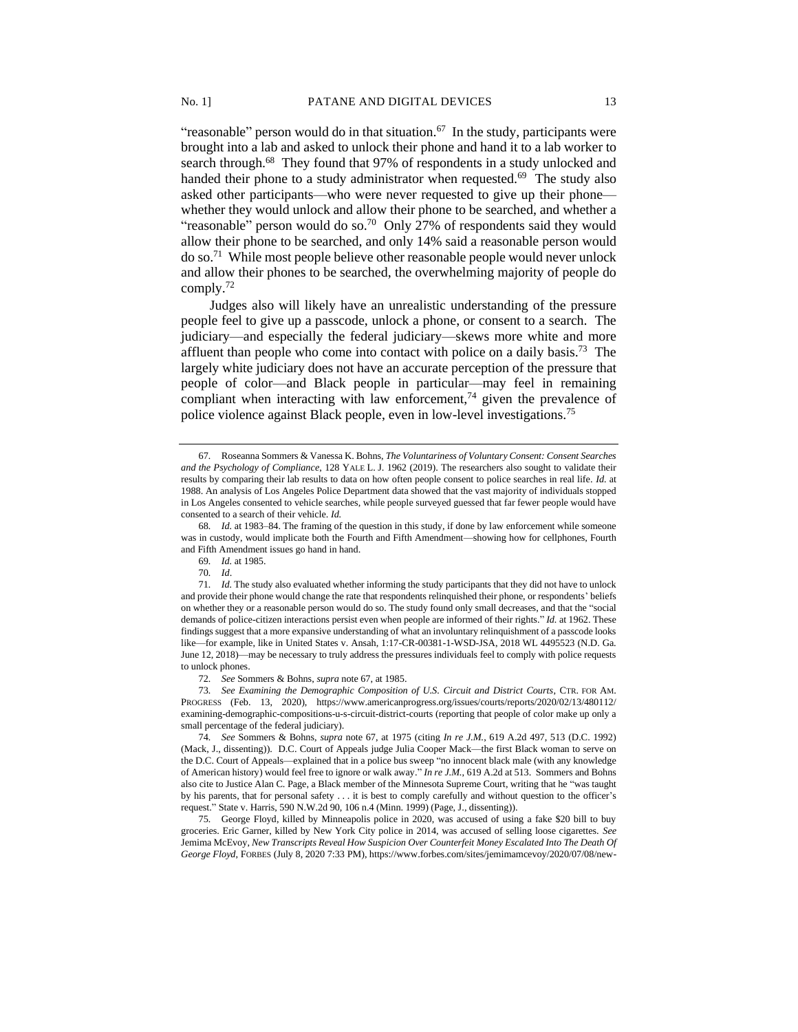"reasonable" person would do in that situation. $67$  In the study, participants were brought into a lab and asked to unlock their phone and hand it to a lab worker to search through.<sup>68</sup> They found that 97% of respondents in a study unlocked and handed their phone to a study administrator when requested.<sup>69</sup> The study also asked other participants—who were never requested to give up their phone whether they would unlock and allow their phone to be searched, and whether a "reasonable" person would do so.<sup>70</sup> Only 27% of respondents said they would allow their phone to be searched, and only 14% said a reasonable person would do so.<sup>71</sup> While most people believe other reasonable people would never unlock and allow their phones to be searched, the overwhelming majority of people do comply.<sup>72</sup>

Judges also will likely have an unrealistic understanding of the pressure people feel to give up a passcode, unlock a phone, or consent to a search. The judiciary—and especially the federal judiciary—skews more white and more affluent than people who come into contact with police on a daily basis.<sup>73</sup> The largely white judiciary does not have an accurate perception of the pressure that people of color—and Black people in particular—may feel in remaining compliant when interacting with law enforcement,<sup>74</sup> given the prevalence of police violence against Black people, even in low-level investigations.<sup>75</sup>

72*. See* Sommers & Bohns, *supra* note 67, at 1985.

73*. See Examining the Demographic Composition of U.S. Circuit and District Courts*, CTR. FOR AM. PROGRESS (Feb. 13, 2020), https://www.americanprogress.org/issues/courts/reports/2020/02/13/480112/ examining-demographic-compositions-u-s-circuit-district-courts (reporting that people of color make up only a small percentage of the federal judiciary).

74*. See* Sommers & Bohns, *supra* note 67, at 1975 (citing *In re J.M.*, 619 A.2d 497, 513 (D.C. 1992) (Mack, J., dissenting)). D.C. Court of Appeals judge Julia Cooper Mack—the first Black woman to serve on the D.C. Court of Appeals—explained that in a police bus sweep "no innocent black male (with any knowledge of American history) would feel free to ignore or walk away." *In re J.M.*, 619 A.2d at 513. Sommers and Bohns also cite to Justice Alan C. Page, a Black member of the Minnesota Supreme Court, writing that he "was taught by his parents, that for personal safety . . . it is best to comply carefully and without question to the officer's request." State v. Harris, 590 N.W.2d 90, 106 n.4 (Minn. 1999) (Page, J., dissenting)).

75*.* George Floyd, killed by Minneapolis police in 2020, was accused of using a fake \$20 bill to buy groceries. Eric Garner, killed by New York City police in 2014, was accused of selling loose cigarettes. *See*  Jemima McEvoy, *New Transcripts Reveal How Suspicion Over Counterfeit Money Escalated Into The Death Of George Floyd*, FORBES (July 8, 2020 7:33 PM), https://www.forbes.com/sites/jemimamcevoy/2020/07/08/new-

<sup>67</sup>*.* Roseanna Sommers & Vanessa K. Bohns, *The Voluntariness of Voluntary Consent: Consent Searches and the Psychology of Compliance*, 128 YALE L. J. 1962 (2019). The researchers also sought to validate their results by comparing their lab results to data on how often people consent to police searches in real life. *Id.* at 1988. An analysis of Los Angeles Police Department data showed that the vast majority of individuals stopped in Los Angeles consented to vehicle searches, while people surveyed guessed that far fewer people would have consented to a search of their vehicle. *Id.*

<sup>68</sup>*. Id.* at 1983–84. The framing of the question in this study, if done by law enforcement while someone was in custody, would implicate both the Fourth and Fifth Amendment—showing how for cellphones, Fourth and Fifth Amendment issues go hand in hand.

<sup>69</sup>*. Id.* at 1985.

<sup>70</sup>*. Id*.

<sup>71</sup>*. Id.* The study also evaluated whether informing the study participants that they did not have to unlock and provide their phone would change the rate that respondents relinquished their phone, or respondents' beliefs on whether they or a reasonable person would do so. The study found only small decreases, and that the "social demands of police-citizen interactions persist even when people are informed of their rights." *Id.* at 1962. These findings suggest that a more expansive understanding of what an involuntary relinquishment of a passcode looks like—for example, like in United States v. Ansah, 1:17-CR-00381-1-WSD-JSA, 2018 WL 4495523 (N.D. Ga. June 12, 2018)—may be necessary to truly address the pressures individuals feel to comply with police requests to unlock phones.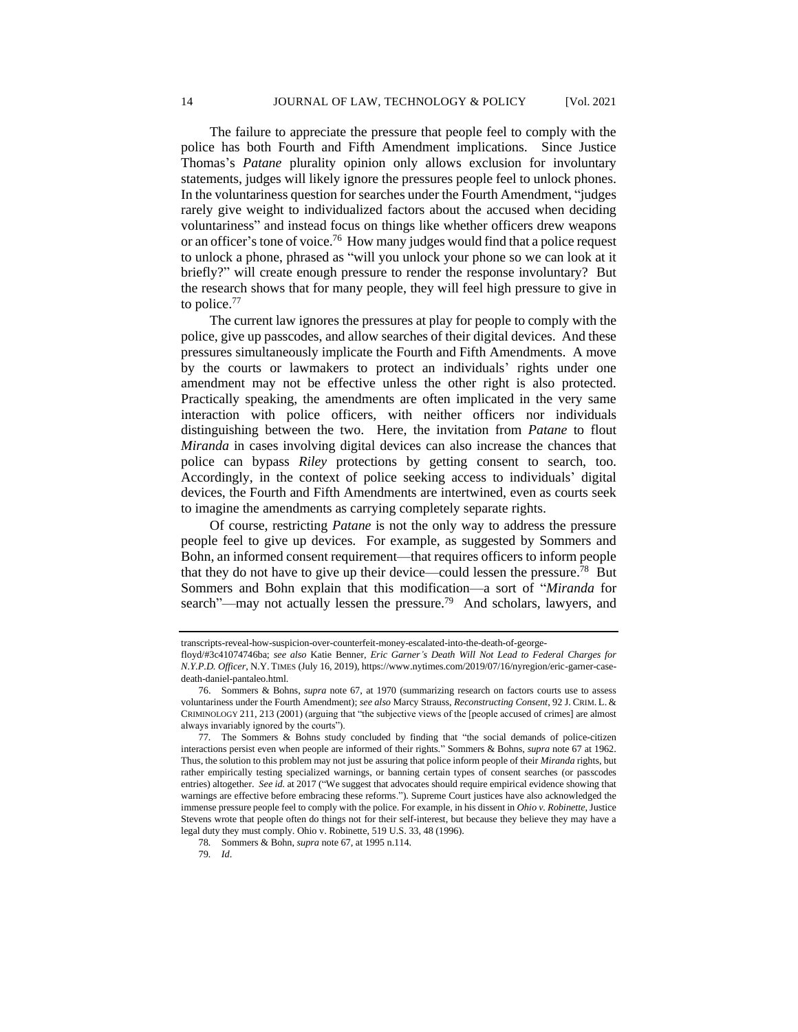The failure to appreciate the pressure that people feel to comply with the police has both Fourth and Fifth Amendment implications. Since Justice Thomas's *Patane* plurality opinion only allows exclusion for involuntary statements, judges will likely ignore the pressures people feel to unlock phones. In the voluntariness question for searches under the Fourth Amendment, "judges rarely give weight to individualized factors about the accused when deciding voluntariness" and instead focus on things like whether officers drew weapons or an officer's tone of voice.<sup>76</sup> How many judges would find that a police request to unlock a phone, phrased as "will you unlock your phone so we can look at it briefly?" will create enough pressure to render the response involuntary? But the research shows that for many people, they will feel high pressure to give in to police.<sup>77</sup>

The current law ignores the pressures at play for people to comply with the police, give up passcodes, and allow searches of their digital devices. And these pressures simultaneously implicate the Fourth and Fifth Amendments. A move by the courts or lawmakers to protect an individuals' rights under one amendment may not be effective unless the other right is also protected. Practically speaking, the amendments are often implicated in the very same interaction with police officers, with neither officers nor individuals distinguishing between the two. Here, the invitation from *Patane* to flout *Miranda* in cases involving digital devices can also increase the chances that police can bypass *Riley* protections by getting consent to search, too. Accordingly, in the context of police seeking access to individuals' digital devices, the Fourth and Fifth Amendments are intertwined, even as courts seek to imagine the amendments as carrying completely separate rights.

Of course, restricting *Patane* is not the only way to address the pressure people feel to give up devices. For example, as suggested by Sommers and Bohn, an informed consent requirement—that requires officers to inform people that they do not have to give up their device—could lessen the pressure.<sup>78</sup> But Sommers and Bohn explain that this modification—a sort of "*Miranda* for search"—may not actually lessen the pressure.<sup>79</sup> And scholars, lawyers, and

transcripts-reveal-how-suspicion-over-counterfeit-money-escalated-into-the-death-of-george-

floyd/#3c41074746ba; *see also* Katie Benner, *Eric Garner's Death Will Not Lead to Federal Charges for N.Y.P.D. Officer*, N.Y. TIMES (July 16, 2019), https://www.nytimes.com/2019/07/16/nyregion/eric-garner-casedeath-daniel-pantaleo.html.

<sup>76.</sup> Sommers & Bohns, *supra* note 67, at 1970 (summarizing research on factors courts use to assess voluntariness under the Fourth Amendment); *see also* Marcy Strauss, *Reconstructing Consent*, 92 J. CRIM. L. & CRIMINOLOGY 211, 213 (2001) (arguing that "the subjective views of the [people accused of crimes] are almost always invariably ignored by the courts").

<sup>77</sup>*.* The Sommers & Bohns study concluded by finding that "the social demands of police-citizen interactions persist even when people are informed of their rights." Sommers & Bohns, *supra* note 67 at 1962. Thus, the solution to this problem may not just be assuring that police inform people of their *Miranda* rights, but rather empirically testing specialized warnings, or banning certain types of consent searches (or passcodes entries) altogether. *See id.* at 2017 ("We suggest that advocates should require empirical evidence showing that warnings are effective before embracing these reforms."). Supreme Court justices have also acknowledged the immense pressure people feel to comply with the police. For example, in his dissent in *Ohio v. Robinette*, Justice Stevens wrote that people often do things not for their self-interest, but because they believe they may have a legal duty they must comply. Ohio v. Robinette, 519 U.S. 33, 48 (1996).

<sup>78</sup>*.* Sommers & Bohn, *supra* note 67, at 1995 n.114.

<sup>79</sup>*. Id*.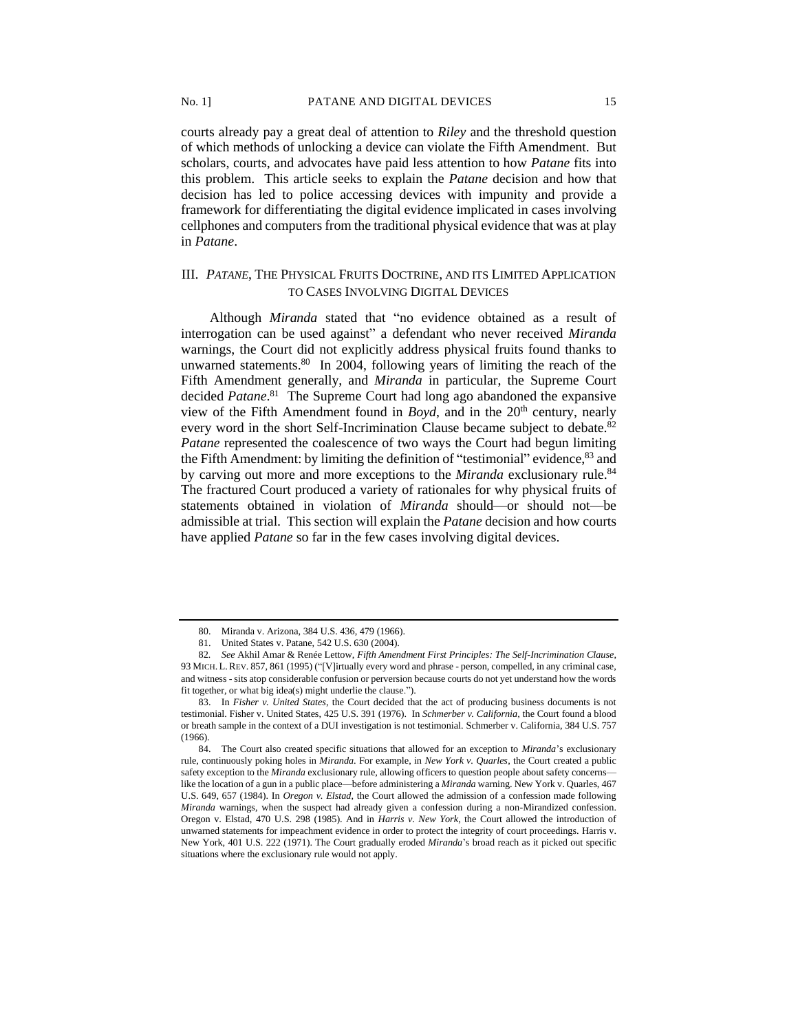courts already pay a great deal of attention to *Riley* and the threshold question of which methods of unlocking a device can violate the Fifth Amendment. But scholars, courts, and advocates have paid less attention to how *Patane* fits into this problem. This article seeks to explain the *Patane* decision and how that decision has led to police accessing devices with impunity and provide a framework for differentiating the digital evidence implicated in cases involving cellphones and computers from the traditional physical evidence that was at play in *Patane*.

## III. *PATANE*, THE PHYSICAL FRUITS DOCTRINE, AND ITS LIMITED APPLICATION TO CASES INVOLVING DIGITAL DEVICES

Although *Miranda* stated that "no evidence obtained as a result of interrogation can be used against" a defendant who never received *Miranda* warnings, the Court did not explicitly address physical fruits found thanks to unwarned statements.<sup>80</sup> In 2004, following years of limiting the reach of the Fifth Amendment generally, and *Miranda* in particular, the Supreme Court decided *Patane*. 81 The Supreme Court had long ago abandoned the expansive view of the Fifth Amendment found in *Boyd*, and in the  $20<sup>th</sup>$  century, nearly every word in the short Self-Incrimination Clause became subject to debate.<sup>82</sup> *Patane* represented the coalescence of two ways the Court had begun limiting the Fifth Amendment: by limiting the definition of "testimonial" evidence, <sup>83</sup> and by carving out more and more exceptions to the *Miranda* exclusionary rule.<sup>84</sup> The fractured Court produced a variety of rationales for why physical fruits of statements obtained in violation of *Miranda* should—or should not—be admissible at trial. This section will explain the *Patane* decision and how courts have applied *Patane* so far in the few cases involving digital devices.

<sup>80.</sup> Miranda v. Arizona, 384 U.S. 436, 479 (1966).

<sup>81.</sup> United States v. Patane, 542 U.S. 630 (2004).

<sup>82</sup>*. See* Akhil Amar & Renée Lettow, *Fifth Amendment First Principles: The Self-Incrimination Clause*, 93 MICH. L.REV. 857, 861 (1995) ("[V]irtually every word and phrase - person, compelled, in any criminal case, and witness - sits atop considerable confusion or perversion because courts do not yet understand how the words fit together, or what big idea(s) might underlie the clause.").

<sup>83.</sup> In *Fisher v. United States*, the Court decided that the act of producing business documents is not testimonial. Fisher v. United States, 425 U.S. 391 (1976). In *Schmerber v. California*, the Court found a blood or breath sample in the context of a DUI investigation is not testimonial. Schmerber v. California, 384 U.S. 757 (1966).

<sup>84.</sup> The Court also created specific situations that allowed for an exception to *Miranda*'s exclusionary rule, continuously poking holes in *Miranda*. For example, in *New York v. Quarles*, the Court created a public safety exception to the *Miranda* exclusionary rule, allowing officers to question people about safety concerns like the location of a gun in a public place—before administering a *Miranda* warning. New York v. Quarles, 467 U.S. 649, 657 (1984). In *Oregon v. Elstad*, the Court allowed the admission of a confession made following *Miranda* warnings, when the suspect had already given a confession during a non-Mirandized confession. Oregon v. Elstad, 470 U.S. 298 (1985). And in *Harris v. New York*, the Court allowed the introduction of unwarned statements for impeachment evidence in order to protect the integrity of court proceedings. Harris v. New York, 401 U.S. 222 (1971). The Court gradually eroded *Miranda*'s broad reach as it picked out specific situations where the exclusionary rule would not apply.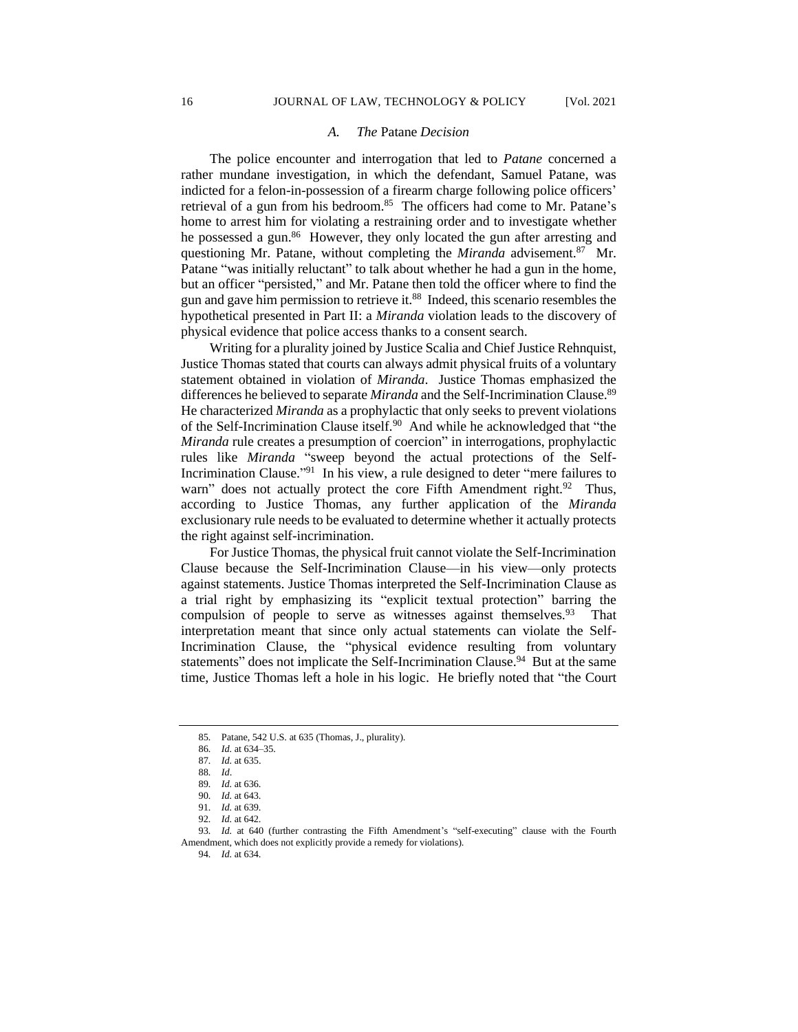#### *A. The* Patane *Decision*

The police encounter and interrogation that led to *Patane* concerned a rather mundane investigation, in which the defendant, Samuel Patane, was indicted for a felon-in-possession of a firearm charge following police officers' retrieval of a gun from his bedroom.<sup>85</sup> The officers had come to Mr. Patane's home to arrest him for violating a restraining order and to investigate whether he possessed a gun.<sup>86</sup> However, they only located the gun after arresting and questioning Mr. Patane, without completing the *Miranda* advisement.<sup>87</sup> Mr. Patane "was initially reluctant" to talk about whether he had a gun in the home, but an officer "persisted," and Mr. Patane then told the officer where to find the gun and gave him permission to retrieve it.<sup>88</sup> Indeed, this scenario resembles the hypothetical presented in Part II: a *Miranda* violation leads to the discovery of physical evidence that police access thanks to a consent search.

Writing for a plurality joined by Justice Scalia and Chief Justice Rehnquist, Justice Thomas stated that courts can always admit physical fruits of a voluntary statement obtained in violation of *Miranda*. Justice Thomas emphasized the differences he believed to separate *Miranda* and the Self-Incrimination Clause.<sup>89</sup> He characterized *Miranda* as a prophylactic that only seeks to prevent violations of the Self-Incrimination Clause itself.<sup>90</sup> And while he acknowledged that "the *Miranda* rule creates a presumption of coercion" in interrogations, prophylactic rules like *Miranda* "sweep beyond the actual protections of the Self-Incrimination Clause."<sup>91</sup> In his view, a rule designed to deter "mere failures to warn" does not actually protect the core Fifth Amendment right.<sup>92</sup> Thus, according to Justice Thomas, any further application of the *Miranda* exclusionary rule needs to be evaluated to determine whether it actually protects the right against self-incrimination.

For Justice Thomas, the physical fruit cannot violate the Self-Incrimination Clause because the Self-Incrimination Clause—in his view—only protects against statements. Justice Thomas interpreted the Self-Incrimination Clause as a trial right by emphasizing its "explicit textual protection" barring the compulsion of people to serve as witnesses against themselves. <sup>93</sup> That interpretation meant that since only actual statements can violate the Self-Incrimination Clause, the "physical evidence resulting from voluntary statements" does not implicate the Self-Incrimination Clause.<sup>94</sup> But at the same time, Justice Thomas left a hole in his logic. He briefly noted that "the Court

<sup>85</sup>*.* Patane, 542 U.S. at 635 (Thomas, J., plurality).

<sup>86</sup>*. Id.* at 634–35.

<sup>87</sup>*. Id.* at 635.

<sup>88</sup>*. Id*.

<sup>89</sup>*. Id.* at 636.

<sup>90</sup>*. Id.* at 643.

<sup>91</sup>*. Id.* at 639.

<sup>92</sup>*. Id.* at 642.

<sup>93</sup>*. Id.* at 640 (further contrasting the Fifth Amendment's "self-executing" clause with the Fourth Amendment, which does not explicitly provide a remedy for violations).

<sup>94</sup>*. Id.* at 634.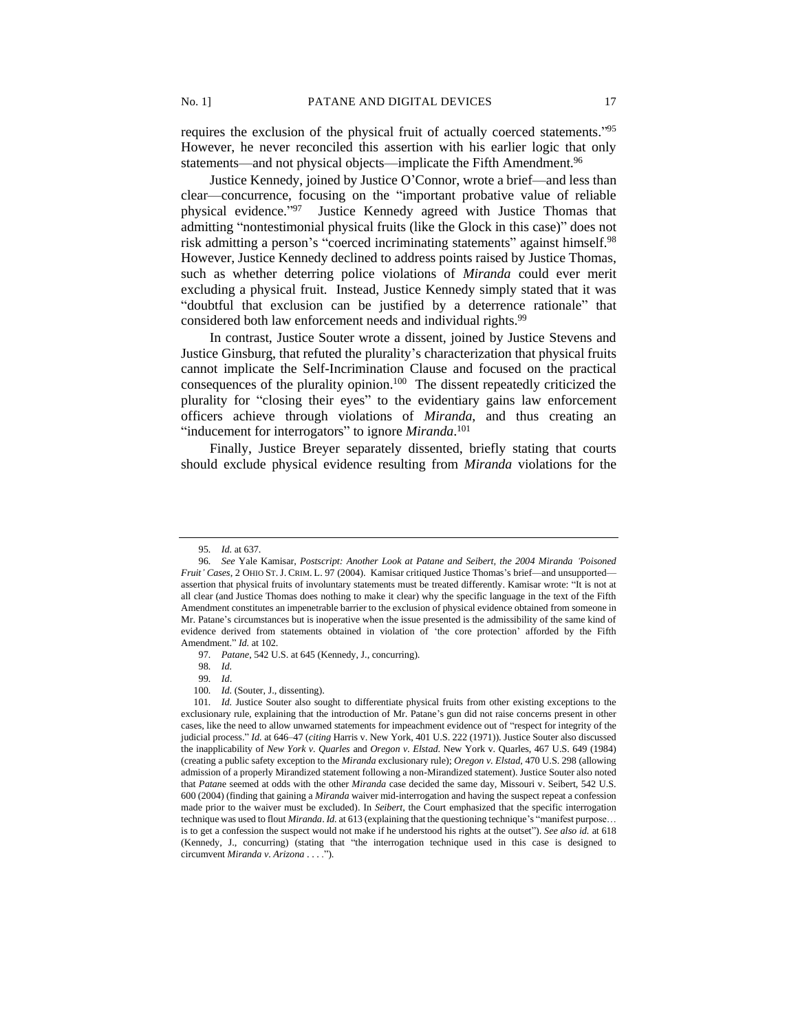requires the exclusion of the physical fruit of actually coerced statements."<sup>95</sup> However, he never reconciled this assertion with his earlier logic that only statements—and not physical objects—implicate the Fifth Amendment.<sup>96</sup>

Justice Kennedy, joined by Justice O'Connor, wrote a brief—and less than clear—concurrence, focusing on the "important probative value of reliable physical evidence."<sup>97</sup> Justice Kennedy agreed with Justice Thomas that admitting "nontestimonial physical fruits (like the Glock in this case)" does not risk admitting a person's "coerced incriminating statements" against himself.<sup>98</sup> However, Justice Kennedy declined to address points raised by Justice Thomas, such as whether deterring police violations of *Miranda* could ever merit excluding a physical fruit. Instead, Justice Kennedy simply stated that it was "doubtful that exclusion can be justified by a deterrence rationale" that considered both law enforcement needs and individual rights.<sup>99</sup>

In contrast, Justice Souter wrote a dissent, joined by Justice Stevens and Justice Ginsburg, that refuted the plurality's characterization that physical fruits cannot implicate the Self-Incrimination Clause and focused on the practical consequences of the plurality opinion.<sup>100</sup> The dissent repeatedly criticized the plurality for "closing their eyes" to the evidentiary gains law enforcement officers achieve through violations of *Miranda*, and thus creating an "inducement for interrogators" to ignore *Miranda*.<sup>101</sup>

Finally, Justice Breyer separately dissented, briefly stating that courts should exclude physical evidence resulting from *Miranda* violations for the

98*. Id.*

99*. Id*.

<sup>95</sup>*. Id.* at 637.

<sup>96</sup>*. See* Yale Kamisar, *Postscript: Another Look at Patane and Seibert, the 2004 Miranda 'Poisoned Fruit' Cases*, 2 OHIO ST.J. CRIM. L. 97 (2004). Kamisar critiqued Justice Thomas's brief—and unsupported assertion that physical fruits of involuntary statements must be treated differently. Kamisar wrote: "It is not at all clear (and Justice Thomas does nothing to make it clear) why the specific language in the text of the Fifth Amendment constitutes an impenetrable barrier to the exclusion of physical evidence obtained from someone in Mr. Patane's circumstances but is inoperative when the issue presented is the admissibility of the same kind of evidence derived from statements obtained in violation of 'the core protection' afforded by the Fifth Amendment." *Id.* at 102.

<sup>97</sup>*. Patane*, 542 U.S. at 645 (Kennedy, J., concurring).

<sup>100</sup>*. Id.* (Souter, J., dissenting).

<sup>101</sup>*. Id.* Justice Souter also sought to differentiate physical fruits from other existing exceptions to the exclusionary rule, explaining that the introduction of Mr. Patane's gun did not raise concerns present in other cases, like the need to allow unwarned statements for impeachment evidence out of "respect for integrity of the judicial process." *Id.* at 646–47 (*citing* Harris v. New York, 401 U.S. 222 (1971)). Justice Souter also discussed the inapplicability of *New York v. Quarles* and *Oregon v. Elstad*. New York v. Quarles, 467 U.S. 649 (1984) (creating a public safety exception to the *Miranda* exclusionary rule); *Oregon v. Elstad*, 470 U.S. 298 (allowing admission of a properly Mirandized statement following a non-Mirandized statement). Justice Souter also noted that *Patan*e seemed at odds with the other *Miranda* case decided the same day, Missouri v. Seibert, 542 U.S. 600 (2004) (finding that gaining a *Miranda* waiver mid-interrogation and having the suspect repeat a confession made prior to the waiver must be excluded). In *Seibert*, the Court emphasized that the specific interrogation technique was used to flout *Miranda*. *Id.* at 613 (explaining that the questioning technique's "manifest purpose… is to get a confession the suspect would not make if he understood his rights at the outset"). *See also id.* at 618 (Kennedy, J., concurring) (stating that "the interrogation technique used in this case is designed to circumvent *Miranda v. Arizona* . . . .").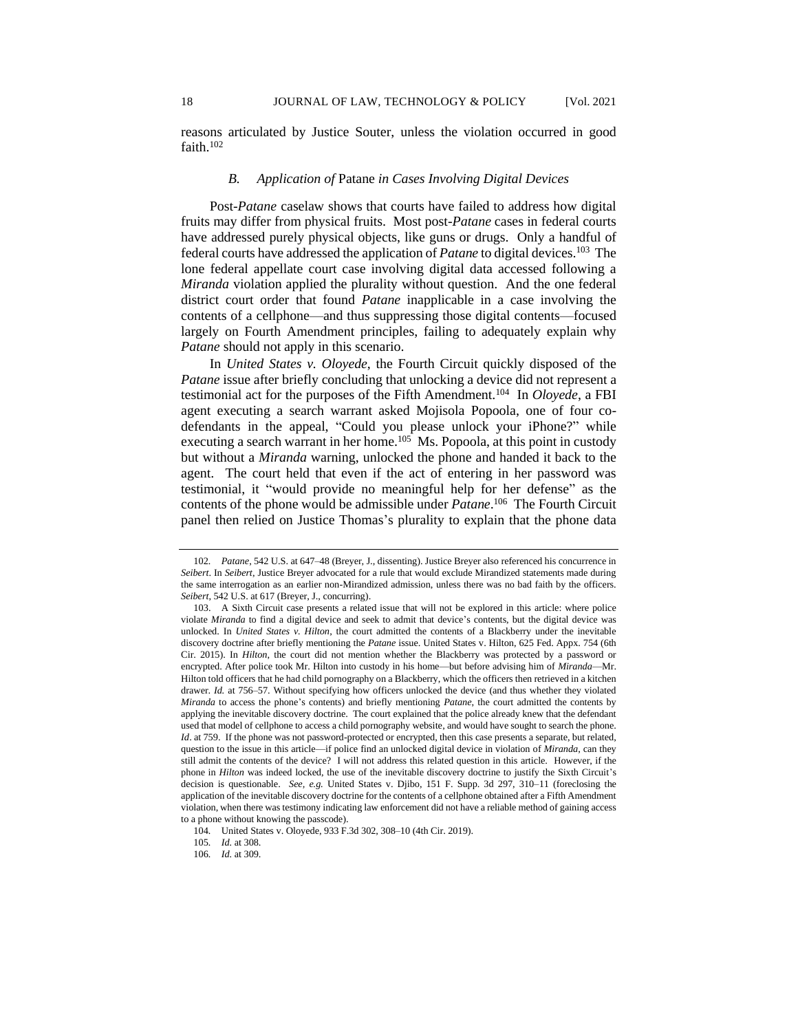reasons articulated by Justice Souter, unless the violation occurred in good faith.<sup>102</sup>

### *B. Application of* Patane *in Cases Involving Digital Devices*

Post-*Patane* caselaw shows that courts have failed to address how digital fruits may differ from physical fruits. Most post-*Patane* cases in federal courts have addressed purely physical objects, like guns or drugs. Only a handful of federal courts have addressed the application of *Patane* to digital devices.<sup>103</sup> The lone federal appellate court case involving digital data accessed following a *Miranda* violation applied the plurality without question. And the one federal district court order that found *Patane* inapplicable in a case involving the contents of a cellphone—and thus suppressing those digital contents—focused largely on Fourth Amendment principles, failing to adequately explain why *Patane* should not apply in this scenario.

In *United States v. Oloyede*, the Fourth Circuit quickly disposed of the *Patane* issue after briefly concluding that unlocking a device did not represent a testimonial act for the purposes of the Fifth Amendment.<sup>104</sup> In *Oloyede*, a FBI agent executing a search warrant asked Mojisola Popoola, one of four codefendants in the appeal, "Could you please unlock your iPhone?" while executing a search warrant in her home.<sup>105</sup> Ms. Popoola, at this point in custody but without a *Miranda* warning, unlocked the phone and handed it back to the agent. The court held that even if the act of entering in her password was testimonial, it "would provide no meaningful help for her defense" as the contents of the phone would be admissible under *Patane*. 106 The Fourth Circuit panel then relied on Justice Thomas's plurality to explain that the phone data

<sup>102</sup>*. Patane*, 542 U.S. at 647–48 (Breyer, J., dissenting). Justice Breyer also referenced his concurrence in *Seibert*. In *Seibert*, Justice Breyer advocated for a rule that would exclude Mirandized statements made during the same interrogation as an earlier non-Mirandized admission, unless there was no bad faith by the officers. *Seibert*, 542 U.S. at 617 (Breyer, J., concurring).

<sup>103.</sup> A Sixth Circuit case presents a related issue that will not be explored in this article: where police violate *Miranda* to find a digital device and seek to admit that device's contents, but the digital device was unlocked. In *United States v. Hilton*, the court admitted the contents of a Blackberry under the inevitable discovery doctrine after briefly mentioning the *Patane* issue. United States v. Hilton, 625 Fed. Appx. 754 (6th Cir. 2015). In *Hilton*, the court did not mention whether the Blackberry was protected by a password or encrypted. After police took Mr. Hilton into custody in his home—but before advising him of *Miranda*—Mr. Hilton told officers that he had child pornography on a Blackberry, which the officers then retrieved in a kitchen drawer. *Id.* at 756–57. Without specifying how officers unlocked the device (and thus whether they violated *Miranda* to access the phone's contents) and briefly mentioning *Patane*, the court admitted the contents by applying the inevitable discovery doctrine. The court explained that the police already knew that the defendant used that model of cellphone to access a child pornography website, and would have sought to search the phone. *Id.* at 759. If the phone was not password-protected or encrypted, then this case presents a separate, but related, question to the issue in this article—if police find an unlocked digital device in violation of *Miranda*, can they still admit the contents of the device? I will not address this related question in this article. However, if the phone in *Hilton* was indeed locked, the use of the inevitable discovery doctrine to justify the Sixth Circuit's decision is questionable. *See, e.g.* United States v. Djibo, 151 F. Supp. 3d 297, 310–11 (foreclosing the application of the inevitable discovery doctrine for the contents of a cellphone obtained after a Fifth Amendment violation, when there was testimony indicating law enforcement did not have a reliable method of gaining access to a phone without knowing the passcode).

<sup>104</sup>*.* United States v. Oloyede, 933 F.3d 302, 308–10 (4th Cir. 2019).

<sup>105</sup>*. Id.* at 308.

<sup>106</sup>*. Id.* at 309.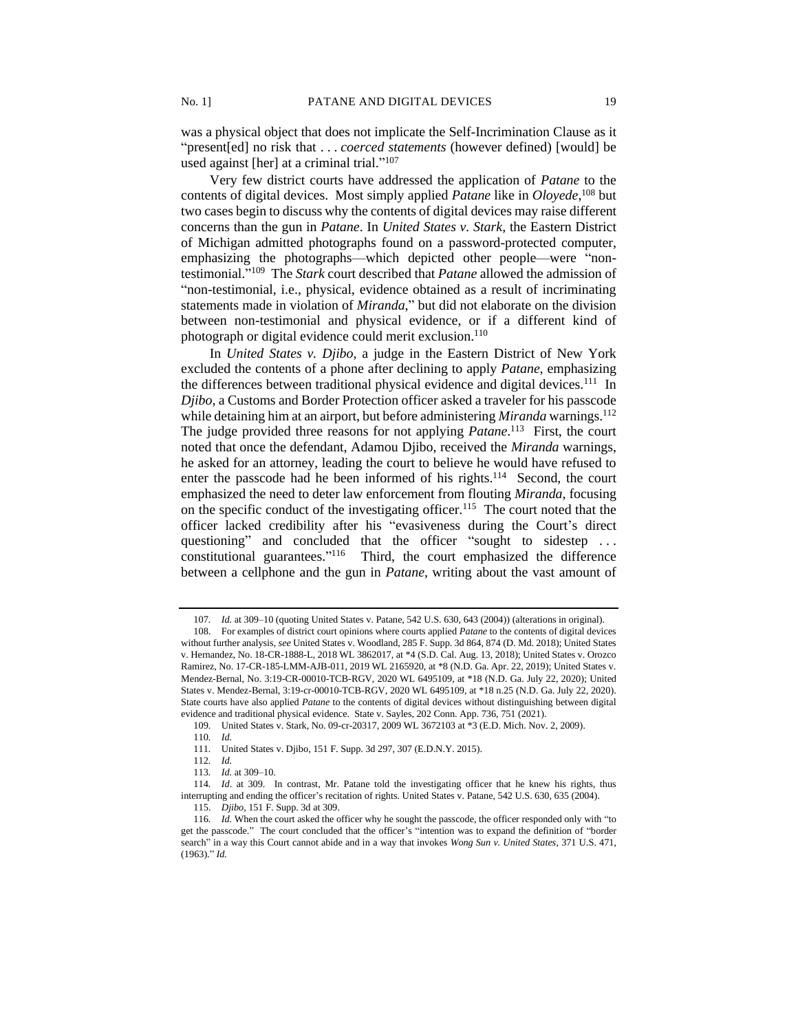was a physical object that does not implicate the Self-Incrimination Clause as it "present[ed] no risk that . . . *coerced statements* (however defined) [would] be used against [her] at a criminal trial."<sup>107</sup>

Very few district courts have addressed the application of *Patane* to the contents of digital devices. Most simply applied *Patane* like in *Oloyede*, <sup>108</sup> but two cases begin to discuss why the contents of digital devices may raise different concerns than the gun in *Patane*. In *United States v. Stark*, the Eastern District of Michigan admitted photographs found on a password-protected computer, emphasizing the photographs—which depicted other people—were "nontestimonial." 109 The *Stark* court described that *Patane* allowed the admission of "non-testimonial, i.e., physical, evidence obtained as a result of incriminating statements made in violation of *Miranda*," but did not elaborate on the division between non-testimonial and physical evidence, or if a different kind of photograph or digital evidence could merit exclusion.<sup>110</sup>

In *United States v. Djibo*, a judge in the Eastern District of New York excluded the contents of a phone after declining to apply *Patane*, emphasizing the differences between traditional physical evidence and digital devices.<sup>111</sup> In *Djibo*, a Customs and Border Protection officer asked a traveler for his passcode while detaining him at an airport, but before administering *Miranda* warnings.<sup>112</sup> The judge provided three reasons for not applying *Patane*. <sup>113</sup> First, the court noted that once the defendant, Adamou Djibo, received the *Miranda* warnings, he asked for an attorney, leading the court to believe he would have refused to enter the passcode had he been informed of his rights.<sup>114</sup> Second, the court emphasized the need to deter law enforcement from flouting *Miranda*, focusing on the specific conduct of the investigating officer.<sup>115</sup> The court noted that the officer lacked credibility after his "evasiveness during the Court's direct questioning" and concluded that the officer "sought to sidestep ... constitutional guarantees." 116 Third, the court emphasized the difference between a cellphone and the gun in *Patane*, writing about the vast amount of

<sup>107</sup>*. Id.* at 309–10 (quoting United States v. Patane, 542 U.S. 630, 643 (2004)) (alterations in original).

<sup>108.</sup> For examples of district court opinions where courts applied *Patane* to the contents of digital devices without further analysis, *see* United States v. Woodland, 285 F. Supp. 3d 864, 874 (D. Md. 2018); United States v. Hernandez, No. 18-CR-1888-L, 2018 WL 3862017, at \*4 (S.D. Cal. Aug. 13, 2018); United States v. Orozco Ramirez, No. 17-CR-185-LMM-AJB-011, 2019 WL 2165920, at \*8 (N.D. Ga. Apr. 22, 2019); United States v. Mendez-Bernal, No. 3:19-CR-00010-TCB-RGV, 2020 WL 6495109, at \*18 (N.D. Ga. July 22, 2020); United States v. Mendez-Bernal, 3:19-cr-00010-TCB-RGV, 2020 WL 6495109, at \*18 n.25 (N.D. Ga. July 22, 2020). State courts have also applied *Patane* to the contents of digital devices without distinguishing between digital evidence and traditional physical evidence. State v. Sayles, 202 Conn. App. 736, 751 (2021).

<sup>109</sup>*.* United States v. Stark, No. 09-cr-20317, 2009 WL 3672103 at \*3 (E.D. Mich. Nov. 2, 2009)*.*

<sup>110</sup>*. Id.*

<sup>111</sup>*.* United States v. Djibo, 151 F. Supp. 3d 297, 307 (E.D.N.Y. 2015).

<sup>112</sup>*. Id.*

<sup>113</sup>*. Id.* at 309–10.

<sup>114</sup>*. Id*. at 309. In contrast, Mr. Patane told the investigating officer that he knew his rights, thus interrupting and ending the officer's recitation of rights. United States v. Patane, 542 U.S. 630, 635 (2004). 115. *Djibo*, 151 F. Supp. 3d at 309.

<sup>116</sup>*. Id.* When the court asked the officer why he sought the passcode, the officer responded only with "to get the passcode." The court concluded that the officer's "intention was to expand the definition of "border search" in a way this Court cannot abide and in a way that invokes *Wong Sun v. United States*, 371 U.S. 471, (1963)." *Id.*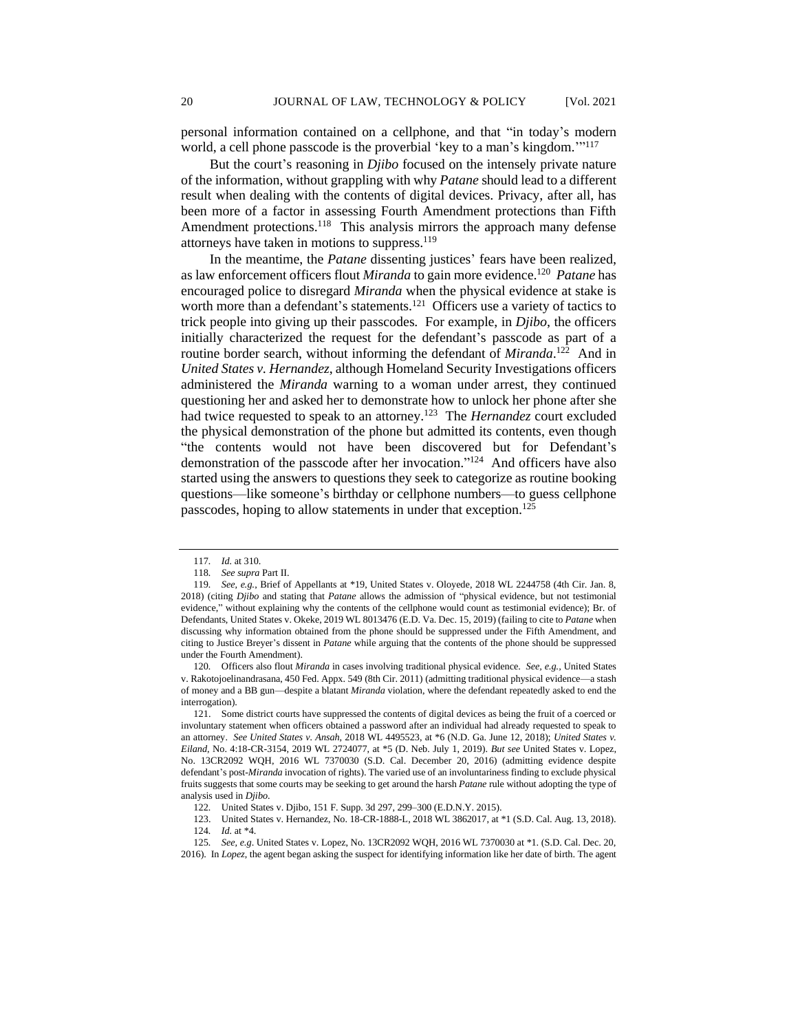personal information contained on a cellphone, and that "in today's modern world, a cell phone passcode is the proverbial 'key to a man's kingdom."<sup>117</sup>

But the court's reasoning in *Djibo* focused on the intensely private nature of the information, without grappling with why *Patane* should lead to a different result when dealing with the contents of digital devices. Privacy, after all, has been more of a factor in assessing Fourth Amendment protections than Fifth Amendment protections.<sup>118</sup> This analysis mirrors the approach many defense attorneys have taken in motions to suppress.<sup>119</sup>

In the meantime, the *Patane* dissenting justices' fears have been realized, as law enforcement officers flout *Miranda* to gain more evidence.<sup>120</sup> *Patane* has encouraged police to disregard *Miranda* when the physical evidence at stake is worth more than a defendant's statements.<sup>121</sup> Officers use a variety of tactics to trick people into giving up their passcodes. For example, in *Djibo*, the officers initially characterized the request for the defendant's passcode as part of a routine border search, without informing the defendant of *Miranda*.<sup>122</sup> And in *United States v. Hernandez*, although Homeland Security Investigations officers administered the *Miranda* warning to a woman under arrest, they continued questioning her and asked her to demonstrate how to unlock her phone after she had twice requested to speak to an attorney.<sup>123</sup> The *Hernandez* court excluded the physical demonstration of the phone but admitted its contents, even though "the contents would not have been discovered but for Defendant's demonstration of the passcode after her invocation." 124 And officers have also started using the answers to questions they seek to categorize as routine booking questions—like someone's birthday or cellphone numbers—to guess cellphone passcodes, hoping to allow statements in under that exception.<sup>125</sup>

<sup>117</sup>*. Id.* at 310.

<sup>118</sup>*. See supra* Part II.

<sup>119</sup>*. See, e.g.*, Brief of Appellants at \*19, United States v. Oloyede, 2018 WL 2244758 (4th Cir. Jan. 8, 2018) (citing *Djibo* and stating that *Patane* allows the admission of "physical evidence, but not testimonial evidence," without explaining why the contents of the cellphone would count as testimonial evidence); Br. of Defendants, United States v. Okeke, 2019 WL 8013476 (E.D. Va. Dec. 15, 2019) (failing to cite to *Patane* when discussing why information obtained from the phone should be suppressed under the Fifth Amendment, and citing to Justice Breyer's dissent in *Patane* while arguing that the contents of the phone should be suppressed under the Fourth Amendment).

<sup>120</sup>*.* Officers also flout *Miranda* in cases involving traditional physical evidence. *See, e.g.,* United States v. Rakotojoelinandrasana, 450 Fed. Appx. 549 (8th Cir. 2011) (admitting traditional physical evidence—a stash of money and a BB gun—despite a blatant *Miranda* violation, where the defendant repeatedly asked to end the interrogation).

<sup>121.</sup> Some district courts have suppressed the contents of digital devices as being the fruit of a coerced or involuntary statement when officers obtained a password after an individual had already requested to speak to an attorney. *See United States v. Ansah*, 2018 WL 4495523, at \*6 (N.D. Ga. June 12, 2018); *United States v. Eiland*, No. 4:18-CR-3154, 2019 WL 2724077, at \*5 (D. Neb. July 1, 2019). *But see* United States v. Lopez, No. 13CR2092 WQH, 2016 WL 7370030 (S.D. Cal. December 20, 2016) (admitting evidence despite defendant's post-*Miranda* invocation of rights). The varied use of an involuntariness finding to exclude physical fruits suggests that some courts may be seeking to get around the harsh *Patane* rule without adopting the type of analysis used in *Djibo*.

<sup>122</sup>*.* United States v. Djibo, 151 F. Supp. 3d 297, 299–300 (E.D.N.Y. 2015).

<sup>123.</sup> United States v. Hernandez, No. 18-CR-1888-L, 2018 WL 3862017, at \*1 (S.D. Cal. Aug. 13, 2018). 124*. Id.* at \*4.

<sup>125</sup>*. See, e.g*. United States v. Lopez, No. 13CR2092 WQH, 2016 WL 7370030 at \*1. (S.D. Cal. Dec. 20, 2016). In *Lopez*, the agent began asking the suspect for identifying information like her date of birth. The agent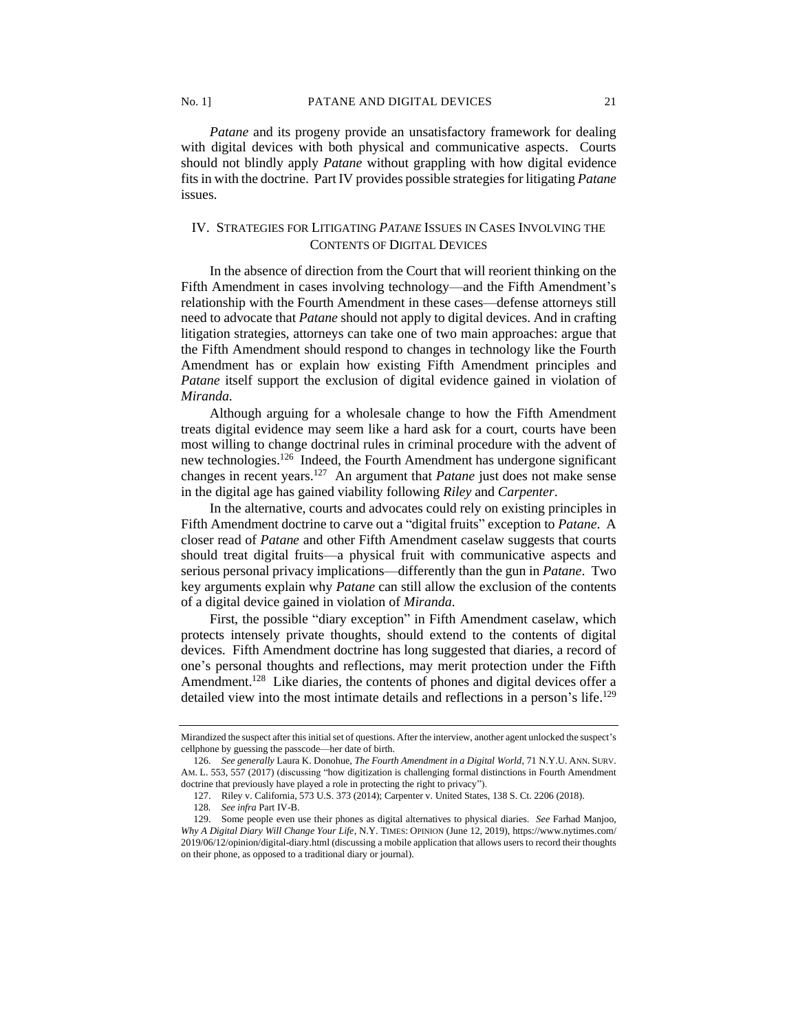*Patane* and its progeny provide an unsatisfactory framework for dealing with digital devices with both physical and communicative aspects. Courts should not blindly apply *Patane* without grappling with how digital evidence fits in with the doctrine. Part IV provides possible strategies for litigating *Patane* issues.

# IV. STRATEGIES FOR LITIGATING *PATANE* ISSUES IN CASES INVOLVING THE CONTENTS OF DIGITAL DEVICES

In the absence of direction from the Court that will reorient thinking on the Fifth Amendment in cases involving technology—and the Fifth Amendment's relationship with the Fourth Amendment in these cases—defense attorneys still need to advocate that *Patane* should not apply to digital devices. And in crafting litigation strategies, attorneys can take one of two main approaches: argue that the Fifth Amendment should respond to changes in technology like the Fourth Amendment has or explain how existing Fifth Amendment principles and *Patane* itself support the exclusion of digital evidence gained in violation of *Miranda*.

Although arguing for a wholesale change to how the Fifth Amendment treats digital evidence may seem like a hard ask for a court, courts have been most willing to change doctrinal rules in criminal procedure with the advent of new technologies.<sup>126</sup> Indeed, the Fourth Amendment has undergone significant changes in recent years.<sup>127</sup> An argument that *Patane* just does not make sense in the digital age has gained viability following *Riley* and *Carpenter*.

In the alternative, courts and advocates could rely on existing principles in Fifth Amendment doctrine to carve out a "digital fruits" exception to *Patane*. A closer read of *Patane* and other Fifth Amendment caselaw suggests that courts should treat digital fruits—a physical fruit with communicative aspects and serious personal privacy implications—differently than the gun in *Patane*. Two key arguments explain why *Patane* can still allow the exclusion of the contents of a digital device gained in violation of *Miranda*.

First, the possible "diary exception" in Fifth Amendment caselaw, which protects intensely private thoughts, should extend to the contents of digital devices. Fifth Amendment doctrine has long suggested that diaries, a record of one's personal thoughts and reflections, may merit protection under the Fifth Amendment.<sup>128</sup> Like diaries, the contents of phones and digital devices offer a detailed view into the most intimate details and reflections in a person's life.<sup>129</sup>

Mirandized the suspect after this initial set of questions. After the interview, another agent unlocked the suspect's cellphone by guessing the passcode—her date of birth.

<sup>126.</sup> *See generally* Laura K. Donohue, *The Fourth Amendment in a Digital World*, 71 N.Y.U. ANN. SURV. AM. L. 553, 557 (2017) (discussing "how digitization is challenging formal distinctions in Fourth Amendment doctrine that previously have played a role in protecting the right to privacy").

<sup>127.</sup> Riley v. California, 573 U.S. 373 (2014); Carpenter v. United States, 138 S. Ct. 2206 (2018).

<sup>128</sup>*. See infra* Part IV-B.

<sup>129.</sup> Some people even use their phones as digital alternatives to physical diaries. *See* Farhad Manjoo, *Why A Digital Diary Will Change Your Life*, N.Y. TIMES: OPINION (June 12, 2019), https://www.nytimes.com/ 2019/06/12/opinion/digital-diary.html (discussing a mobile application that allows users to record their thoughts on their phone, as opposed to a traditional diary or journal).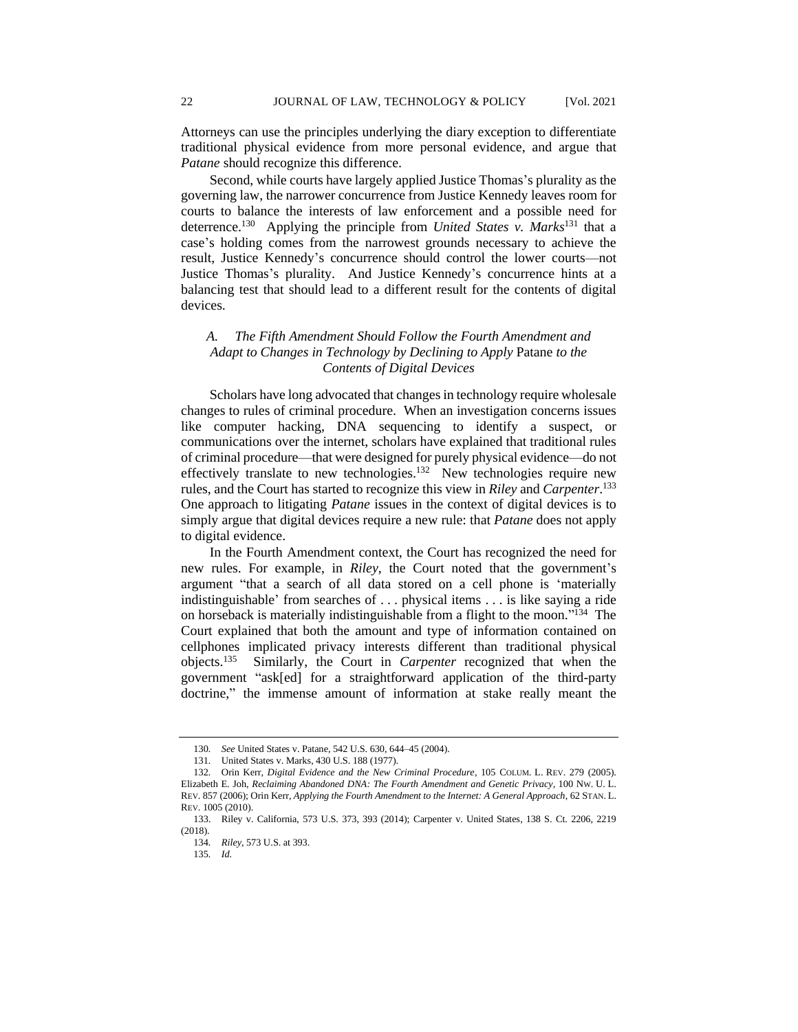Attorneys can use the principles underlying the diary exception to differentiate traditional physical evidence from more personal evidence, and argue that *Patane* should recognize this difference.

Second, while courts have largely applied Justice Thomas's plurality as the governing law, the narrower concurrence from Justice Kennedy leaves room for courts to balance the interests of law enforcement and a possible need for deterrence.<sup>130</sup> Applying the principle from *United States v. Marks*<sup>131</sup> that a case's holding comes from the narrowest grounds necessary to achieve the result, Justice Kennedy's concurrence should control the lower courts—not Justice Thomas's plurality. And Justice Kennedy's concurrence hints at a balancing test that should lead to a different result for the contents of digital devices.

## *A. The Fifth Amendment Should Follow the Fourth Amendment and Adapt to Changes in Technology by Declining to Apply* Patane *to the Contents of Digital Devices*

Scholars have long advocated that changes in technology require wholesale changes to rules of criminal procedure. When an investigation concerns issues like computer hacking, DNA sequencing to identify a suspect, or communications over the internet, scholars have explained that traditional rules of criminal procedure—that were designed for purely physical evidence—do not effectively translate to new technologies.<sup>132</sup> New technologies require new rules, and the Court has started to recognize this view in *Riley* and *Carpenter*. 133 One approach to litigating *Patane* issues in the context of digital devices is to simply argue that digital devices require a new rule: that *Patane* does not apply to digital evidence.

In the Fourth Amendment context, the Court has recognized the need for new rules. For example, in *Riley*, the Court noted that the government's argument "that a search of all data stored on a cell phone is 'materially indistinguishable' from searches of . . . physical items . . . is like saying a ride on horseback is materially indistinguishable from a flight to the moon."<sup>134</sup> The Court explained that both the amount and type of information contained on cellphones implicated privacy interests different than traditional physical objects.<sup>135</sup> Similarly, the Court in *Carpenter* recognized that when the government "ask[ed] for a straightforward application of the third-party doctrine," the immense amount of information at stake really meant the

<sup>130</sup>*. See* United States v. Patane, 542 U.S. 630, 644–45 (2004).

<sup>131</sup>*.* United States v. Marks, 430 U.S. 188 (1977).

<sup>132</sup>*.* Orin Kerr, *Digital Evidence and the New Criminal Procedure*, 105 COLUM. L. REV. 279 (2005). Elizabeth E. Joh, *Reclaiming Abandoned DNA: The Fourth Amendment and Genetic Privacy*, 100 NW. U. L. REV. 857 (2006); Orin Kerr, *Applying the Fourth Amendment to the Internet: A General Approach*, 62 STAN. L. REV. 1005 (2010).

<sup>133.</sup> Riley v. California, 573 U.S. 373, 393 (2014); Carpenter v. United States, 138 S. Ct. 2206, 2219 (2018).

<sup>134</sup>*. Riley*, 573 U.S. at 393.

<sup>135</sup>*. Id.*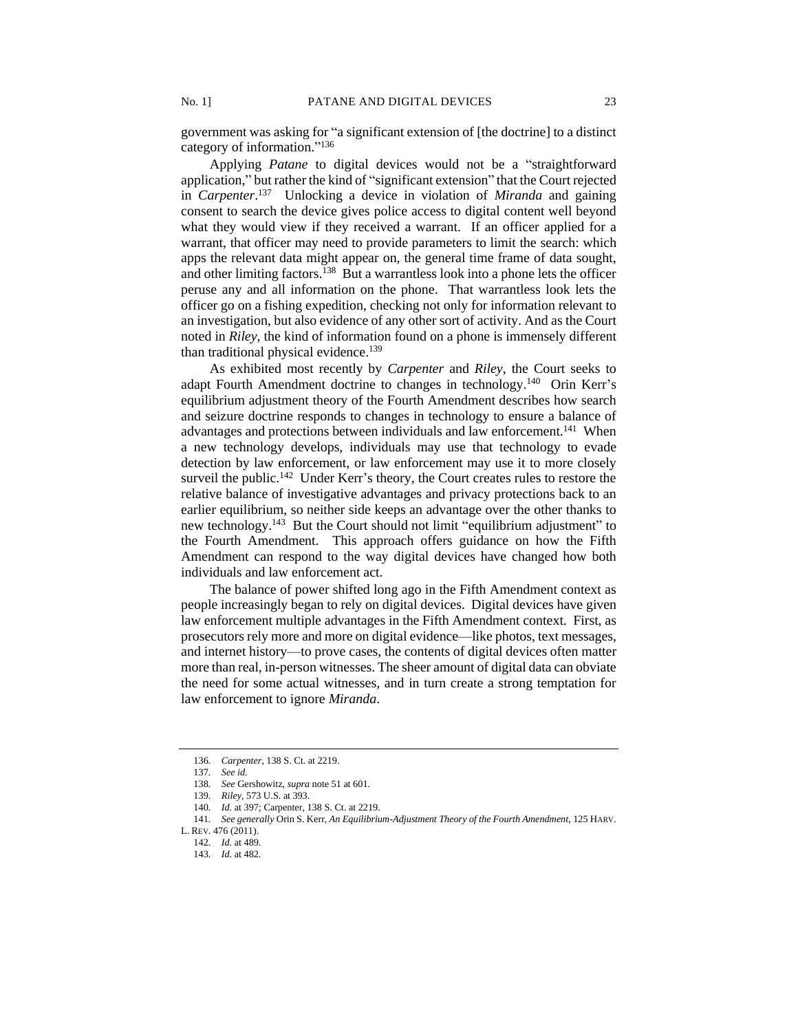government was asking for "a significant extension of [the doctrine] to a distinct category of information."<sup>136</sup>

Applying *Patane* to digital devices would not be a "straightforward application," but rather the kind of "significant extension" that the Court rejected in *Carpenter*. 137 Unlocking a device in violation of *Miranda* and gaining consent to search the device gives police access to digital content well beyond what they would view if they received a warrant. If an officer applied for a warrant, that officer may need to provide parameters to limit the search: which apps the relevant data might appear on, the general time frame of data sought, and other limiting factors.<sup>138</sup> But a warrantless look into a phone lets the officer peruse any and all information on the phone. That warrantless look lets the officer go on a fishing expedition, checking not only for information relevant to an investigation, but also evidence of any other sort of activity. And as the Court noted in *Riley*, the kind of information found on a phone is immensely different than traditional physical evidence.<sup>139</sup>

As exhibited most recently by *Carpenter* and *Riley*, the Court seeks to adapt Fourth Amendment doctrine to changes in technology.<sup>140</sup> Orin Kerr's equilibrium adjustment theory of the Fourth Amendment describes how search and seizure doctrine responds to changes in technology to ensure a balance of advantages and protections between individuals and law enforcement.<sup>141</sup> When a new technology develops, individuals may use that technology to evade detection by law enforcement, or law enforcement may use it to more closely surveil the public.<sup>142</sup> Under Kerr's theory, the Court creates rules to restore the relative balance of investigative advantages and privacy protections back to an earlier equilibrium, so neither side keeps an advantage over the other thanks to new technology.<sup>143</sup> But the Court should not limit "equilibrium adjustment" to the Fourth Amendment. This approach offers guidance on how the Fifth Amendment can respond to the way digital devices have changed how both individuals and law enforcement act.

The balance of power shifted long ago in the Fifth Amendment context as people increasingly began to rely on digital devices. Digital devices have given law enforcement multiple advantages in the Fifth Amendment context. First, as prosecutors rely more and more on digital evidence—like photos, text messages, and internet history—to prove cases, the contents of digital devices often matter more than real, in-person witnesses. The sheer amount of digital data can obviate the need for some actual witnesses, and in turn create a strong temptation for law enforcement to ignore *Miranda*.

<sup>136</sup>*. Carpenter*, 138 S. Ct. at 2219.

<sup>137</sup>*. See id.*

<sup>138</sup>*. See* Gershowitz, *supra* note 51 at 601.

<sup>139</sup>*. Riley,* 573 U.S. at 393.

<sup>140</sup>*. Id.* at 397; Carpenter, 138 S. Ct. at 2219.

<sup>141</sup>*. See generally* Orin S. Kerr, *An Equilibrium-Adjustment Theory of the Fourth Amendment*, 125 HARV.

L. REV. 476 (2011).

<sup>142</sup>*. Id.* at 489.

<sup>143</sup>*. Id.* at 482.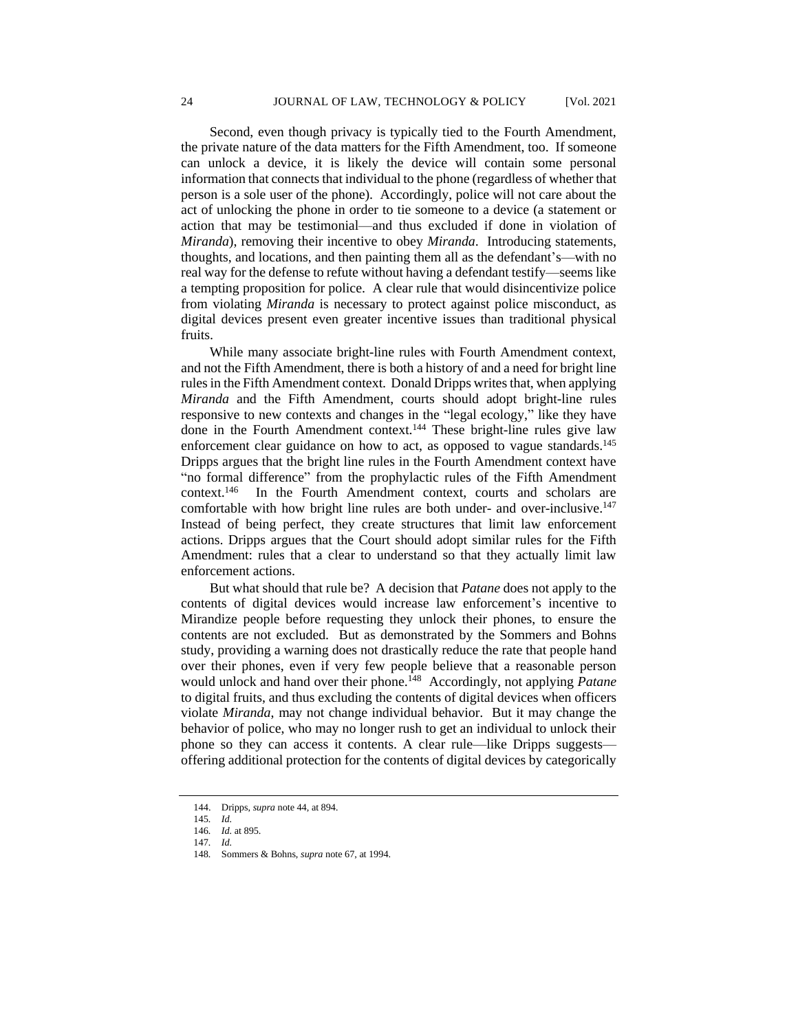Second, even though privacy is typically tied to the Fourth Amendment, the private nature of the data matters for the Fifth Amendment, too. If someone can unlock a device, it is likely the device will contain some personal information that connects that individual to the phone (regardless of whether that person is a sole user of the phone). Accordingly, police will not care about the act of unlocking the phone in order to tie someone to a device (a statement or action that may be testimonial—and thus excluded if done in violation of *Miranda*), removing their incentive to obey *Miranda*. Introducing statements, thoughts, and locations, and then painting them all as the defendant's—with no real way for the defense to refute without having a defendant testify—seems like a tempting proposition for police. A clear rule that would disincentivize police from violating *Miranda* is necessary to protect against police misconduct, as digital devices present even greater incentive issues than traditional physical fruits.

While many associate bright-line rules with Fourth Amendment context, and not the Fifth Amendment, there is both a history of and a need for bright line rules in the Fifth Amendment context. Donald Dripps writes that, when applying *Miranda* and the Fifth Amendment, courts should adopt bright-line rules responsive to new contexts and changes in the "legal ecology," like they have done in the Fourth Amendment context.<sup>144</sup> These bright-line rules give law enforcement clear guidance on how to act, as opposed to vague standards.<sup>145</sup> Dripps argues that the bright line rules in the Fourth Amendment context have "no formal difference" from the prophylactic rules of the Fifth Amendment context.<sup>146</sup> In the Fourth Amendment context, courts and scholars are comfortable with how bright line rules are both under- and over-inclusive.<sup>147</sup> Instead of being perfect, they create structures that limit law enforcement actions. Dripps argues that the Court should adopt similar rules for the Fifth Amendment: rules that a clear to understand so that they actually limit law enforcement actions.

But what should that rule be? A decision that *Patane* does not apply to the contents of digital devices would increase law enforcement's incentive to Mirandize people before requesting they unlock their phones, to ensure the contents are not excluded. But as demonstrated by the Sommers and Bohns study, providing a warning does not drastically reduce the rate that people hand over their phones, even if very few people believe that a reasonable person would unlock and hand over their phone.<sup>148</sup> Accordingly, not applying *Patane* to digital fruits, and thus excluding the contents of digital devices when officers violate *Miranda*, may not change individual behavior. But it may change the behavior of police, who may no longer rush to get an individual to unlock their phone so they can access it contents. A clear rule—like Dripps suggests offering additional protection for the contents of digital devices by categorically

<sup>144.</sup> Dripps, *supra* note 44, at 894*.*

<sup>145</sup>*. Id.*

<sup>146</sup>*. Id.* at 895.

<sup>147</sup>*. Id.*

<sup>148</sup>*.* Sommers & Bohns, *supra* note 67, at 1994.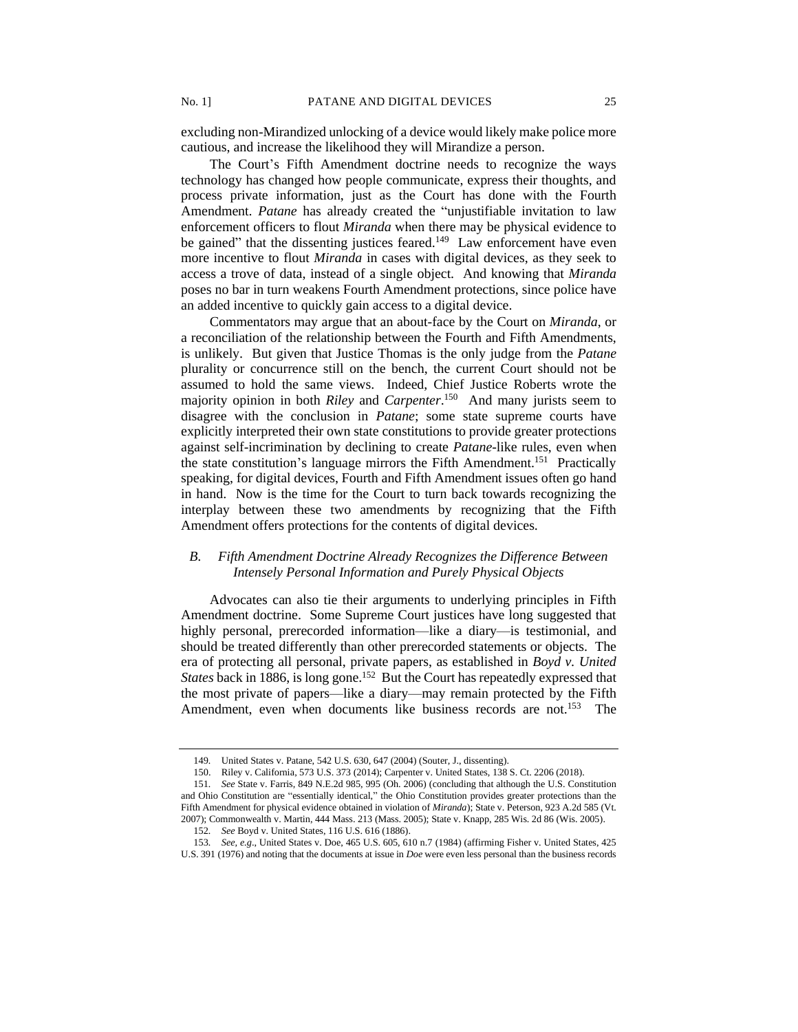excluding non-Mirandized unlocking of a device would likely make police more cautious, and increase the likelihood they will Mirandize a person.

The Court's Fifth Amendment doctrine needs to recognize the ways technology has changed how people communicate, express their thoughts, and process private information, just as the Court has done with the Fourth Amendment. *Patane* has already created the "unjustifiable invitation to law enforcement officers to flout *Miranda* when there may be physical evidence to be gained" that the dissenting justices feared. $149$  Law enforcement have even more incentive to flout *Miranda* in cases with digital devices, as they seek to access a trove of data, instead of a single object. And knowing that *Miranda* poses no bar in turn weakens Fourth Amendment protections, since police have an added incentive to quickly gain access to a digital device.

Commentators may argue that an about-face by the Court on *Miranda*, or a reconciliation of the relationship between the Fourth and Fifth Amendments, is unlikely. But given that Justice Thomas is the only judge from the *Patane* plurality or concurrence still on the bench, the current Court should not be assumed to hold the same views. Indeed, Chief Justice Roberts wrote the majority opinion in both *Riley* and *Carpenter*. 150 And many jurists seem to disagree with the conclusion in *Patane*; some state supreme courts have explicitly interpreted their own state constitutions to provide greater protections against self-incrimination by declining to create *Patane*-like rules, even when the state constitution's language mirrors the Fifth Amendment.<sup>151</sup> Practically speaking, for digital devices, Fourth and Fifth Amendment issues often go hand in hand. Now is the time for the Court to turn back towards recognizing the interplay between these two amendments by recognizing that the Fifth Amendment offers protections for the contents of digital devices.

## *B. Fifth Amendment Doctrine Already Recognizes the Difference Between Intensely Personal Information and Purely Physical Objects*

Advocates can also tie their arguments to underlying principles in Fifth Amendment doctrine. Some Supreme Court justices have long suggested that highly personal, prerecorded information—like a diary—is testimonial, and should be treated differently than other prerecorded statements or objects. The era of protecting all personal, private papers, as established in *Boyd v. United*  States back in 1886, is long gone.<sup>152</sup> But the Court has repeatedly expressed that the most private of papers—like a diary—may remain protected by the Fifth Amendment, even when documents like business records are not.<sup>153</sup> The

<sup>149</sup>*.* United States v. Patane, 542 U.S. 630, 647 (2004) (Souter, J., dissenting).

<sup>150.</sup> Riley v. California, 573 U.S. 373 (2014); Carpenter v. United States, 138 S. Ct. 2206 (2018).

<sup>151</sup>*. See* State v. Farris, 849 N.E.2d 985, 995 (Oh. 2006) (concluding that although the U.S. Constitution and Ohio Constitution are "essentially identical," the Ohio Constitution provides greater protections than the Fifth Amendment for physical evidence obtained in violation of *Miranda*); State v. Peterson, 923 A.2d 585 (Vt. 2007); Commonwealth v. Martin, 444 Mass. 213 (Mass. 2005); State v. Knapp, 285 Wis. 2d 86 (Wis. 2005).

<sup>152</sup>*. See* Boyd v. United States, 116 U.S. 616 (1886).

<sup>153</sup>*. See, e.g*., United States v. Doe, 465 U.S. 605, 610 n.7 (1984) (affirming Fisher v. United States, 425 U.S. 391 (1976) and noting that the documents at issue in *Doe* were even less personal than the business records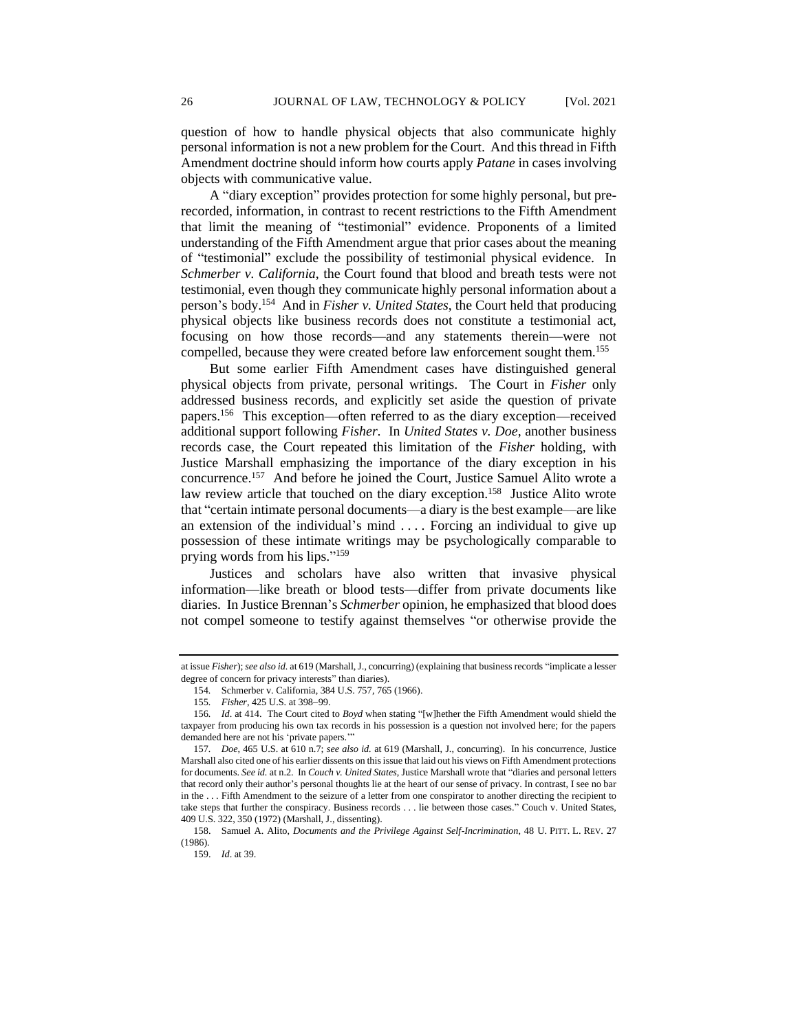question of how to handle physical objects that also communicate highly personal information is not a new problem for the Court. And this thread in Fifth Amendment doctrine should inform how courts apply *Patane* in cases involving objects with communicative value.

A "diary exception" provides protection for some highly personal, but prerecorded, information, in contrast to recent restrictions to the Fifth Amendment that limit the meaning of "testimonial" evidence. Proponents of a limited understanding of the Fifth Amendment argue that prior cases about the meaning of "testimonial" exclude the possibility of testimonial physical evidence. In *Schmerber v. California*, the Court found that blood and breath tests were not testimonial, even though they communicate highly personal information about a person's body.<sup>154</sup> And in *Fisher v. United States*, the Court held that producing physical objects like business records does not constitute a testimonial act, focusing on how those records—and any statements therein—were not compelled, because they were created before law enforcement sought them.<sup>155</sup>

But some earlier Fifth Amendment cases have distinguished general physical objects from private, personal writings. The Court in *Fisher* only addressed business records, and explicitly set aside the question of private papers.<sup>156</sup> This exception—often referred to as the diary exception—received additional support following *Fisher*. In *United States v. Doe*, another business records case, the Court repeated this limitation of the *Fisher* holding, with Justice Marshall emphasizing the importance of the diary exception in his concurrence.<sup>157</sup> And before he joined the Court, Justice Samuel Alito wrote a law review article that touched on the diary exception.<sup>158</sup> Justice Alito wrote that "certain intimate personal documents—a diary is the best example—are like an extension of the individual's mind . . . . Forcing an individual to give up possession of these intimate writings may be psychologically comparable to prying words from his lips." 159

Justices and scholars have also written that invasive physical information—like breath or blood tests—differ from private documents like diaries. In Justice Brennan's *Schmerber* opinion, he emphasized that blood does not compel someone to testify against themselves "or otherwise provide the

at issue *Fisher*); *see also id.* at 619 (Marshall, J., concurring) (explaining that business records "implicate a lesser degree of concern for privacy interests" than diaries).

<sup>154</sup>*.* Schmerber v. California, 384 U.S. 757, 765 (1966).

<sup>155</sup>*. Fisher*, 425 U.S. at 398−99.

<sup>156</sup>*. Id*. at 414. The Court cited to *Boyd* when stating "[w]hether the Fifth Amendment would shield the taxpayer from producing his own tax records in his possession is a question not involved here; for the papers demanded here are not his 'private papers.'"

<sup>157</sup>*. Doe*, 465 U.S. at 610 n.7; *see also id.* at 619 (Marshall, J., concurring). In his concurrence, Justice Marshall also cited one of his earlier dissents on this issue that laid out his views on Fifth Amendment protections for documents. *See id.* at n.2. In *Couch v. United States*, Justice Marshall wrote that "diaries and personal letters that record only their author's personal thoughts lie at the heart of our sense of privacy. In contrast, I see no bar in the . . . Fifth Amendment to the seizure of a letter from one conspirator to another directing the recipient to take steps that further the conspiracy. Business records . . . lie between those cases." Couch v. United States, 409 U.S. 322, 350 (1972) (Marshall, J., dissenting).

<sup>158.</sup> Samuel A. Alito, *Documents and the Privilege Against Self-Incrimination*, 48 U. PITT. L. REV. 27 (1986).

<sup>159.</sup> *Id*. at 39.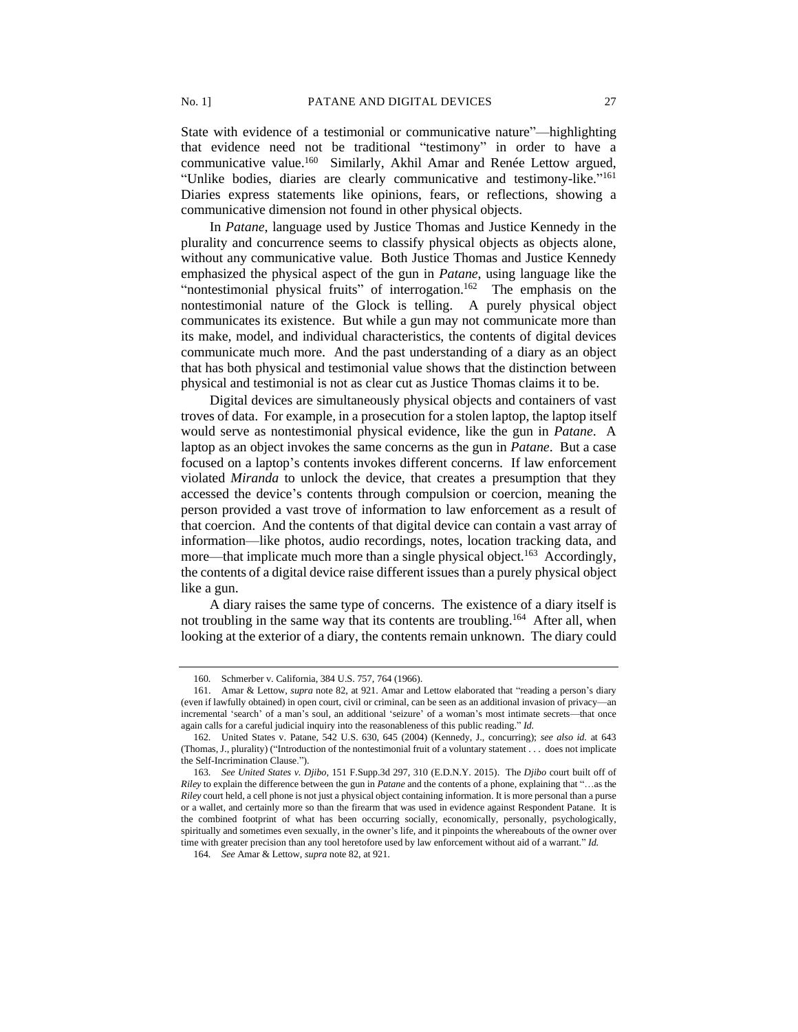State with evidence of a testimonial or communicative nature"—highlighting that evidence need not be traditional "testimony" in order to have a communicative value.<sup>160</sup> Similarly, Akhil Amar and Renée Lettow argued, "Unlike bodies, diaries are clearly communicative and testimony-like."<sup>161</sup> Diaries express statements like opinions, fears, or reflections, showing a communicative dimension not found in other physical objects.

In *Patane*, language used by Justice Thomas and Justice Kennedy in the plurality and concurrence seems to classify physical objects as objects alone, without any communicative value. Both Justice Thomas and Justice Kennedy emphasized the physical aspect of the gun in *Patane*, using language like the "nontestimonial physical fruits" of interrogation.<sup>162</sup> The emphasis on the nontestimonial nature of the Glock is telling. A purely physical object communicates its existence. But while a gun may not communicate more than its make, model, and individual characteristics, the contents of digital devices communicate much more. And the past understanding of a diary as an object that has both physical and testimonial value shows that the distinction between physical and testimonial is not as clear cut as Justice Thomas claims it to be.

Digital devices are simultaneously physical objects and containers of vast troves of data. For example, in a prosecution for a stolen laptop, the laptop itself would serve as nontestimonial physical evidence, like the gun in *Patane*. A laptop as an object invokes the same concerns as the gun in *Patane*. But a case focused on a laptop's contents invokes different concerns. If law enforcement violated *Miranda* to unlock the device, that creates a presumption that they accessed the device's contents through compulsion or coercion, meaning the person provided a vast trove of information to law enforcement as a result of that coercion. And the contents of that digital device can contain a vast array of information—like photos, audio recordings, notes, location tracking data, and more—that implicate much more than a single physical object.<sup>163</sup> Accordingly, the contents of a digital device raise different issues than a purely physical object like a gun.

A diary raises the same type of concerns. The existence of a diary itself is not troubling in the same way that its contents are troubling.<sup>164</sup> After all, when looking at the exterior of a diary, the contents remain unknown. The diary could

<sup>160</sup>*.* Schmerber v. California, 384 U.S. 757, 764 (1966).

<sup>161.</sup> Amar & Lettow, *supra* note 82, at 921. Amar and Lettow elaborated that "reading a person's diary (even if lawfully obtained) in open court, civil or criminal, can be seen as an additional invasion of privacy—an incremental 'search' of a man's soul, an additional 'seizure' of a woman's most intimate secrets—that once again calls for a careful judicial inquiry into the reasonableness of this public reading." *Id.*

<sup>162</sup>*.* United States v. Patane, 542 U.S. 630, 645 (2004) (Kennedy, J., concurring); *see also id.* at 643 (Thomas, J., plurality) ("Introduction of the nontestimonial fruit of a voluntary statement . . . does not implicate the Self-Incrimination Clause.").

<sup>163</sup>*. See United States v. Djibo,* 151 F.Supp.3d 297*,* 310 (E.D.N.Y. 2015). The *Djibo* court built off of *Riley* to explain the difference between the gun in *Patane* and the contents of a phone, explaining that "…as the *Riley* court held, a cell phone is not just a physical object containing information. It is more personal than a purse or a wallet, and certainly more so than the firearm that was used in evidence against Respondent Patane. It is the combined footprint of what has been occurring socially, economically, personally, psychologically, spiritually and sometimes even sexually, in the owner's life, and it pinpoints the whereabouts of the owner over time with greater precision than any tool heretofore used by law enforcement without aid of a warrant." *Id.*

<sup>164</sup>*. See* Amar & Lettow, *supra* note 82, at 921.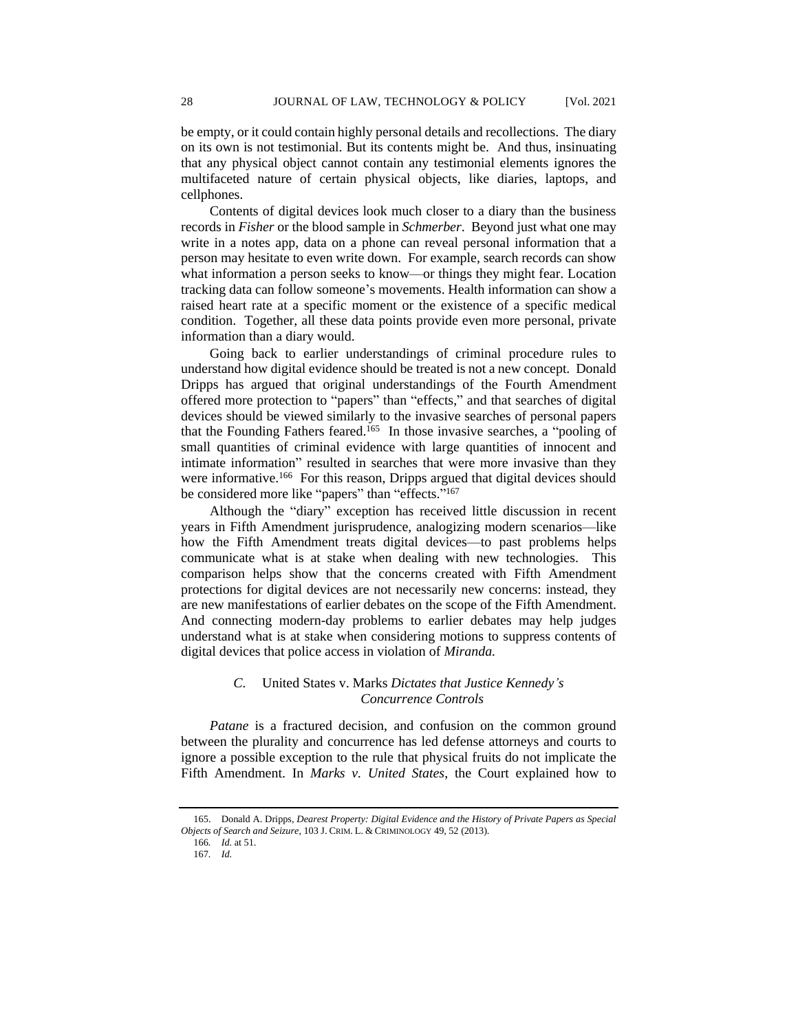be empty, or it could contain highly personal details and recollections. The diary on its own is not testimonial. But its contents might be. And thus, insinuating that any physical object cannot contain any testimonial elements ignores the multifaceted nature of certain physical objects, like diaries, laptops, and cellphones.

Contents of digital devices look much closer to a diary than the business records in *Fisher* or the blood sample in *Schmerber*. Beyond just what one may write in a notes app, data on a phone can reveal personal information that a person may hesitate to even write down. For example, search records can show what information a person seeks to know—or things they might fear. Location tracking data can follow someone's movements. Health information can show a raised heart rate at a specific moment or the existence of a specific medical condition. Together, all these data points provide even more personal, private information than a diary would.

Going back to earlier understandings of criminal procedure rules to understand how digital evidence should be treated is not a new concept. Donald Dripps has argued that original understandings of the Fourth Amendment offered more protection to "papers" than "effects," and that searches of digital devices should be viewed similarly to the invasive searches of personal papers that the Founding Fathers feared.<sup>165</sup> In those invasive searches, a "pooling of small quantities of criminal evidence with large quantities of innocent and intimate information" resulted in searches that were more invasive than they were informative.<sup>166</sup> For this reason, Dripps argued that digital devices should be considered more like "papers" than "effects."<sup>167</sup>

Although the "diary" exception has received little discussion in recent years in Fifth Amendment jurisprudence, analogizing modern scenarios—like how the Fifth Amendment treats digital devices—to past problems helps communicate what is at stake when dealing with new technologies. This comparison helps show that the concerns created with Fifth Amendment protections for digital devices are not necessarily new concerns: instead, they are new manifestations of earlier debates on the scope of the Fifth Amendment. And connecting modern-day problems to earlier debates may help judges understand what is at stake when considering motions to suppress contents of digital devices that police access in violation of *Miranda.*

## *C.* United States v. Marks *Dictates that Justice Kennedy's Concurrence Controls*

*Patane* is a fractured decision, and confusion on the common ground between the plurality and concurrence has led defense attorneys and courts to ignore a possible exception to the rule that physical fruits do not implicate the Fifth Amendment. In *Marks v. United States*, the Court explained how to

<sup>165.</sup> Donald A. Dripps, *Dearest Property: Digital Evidence and the History of Private Papers as Special Objects of Search and Seizure*, 103 J. CRIM. L. & CRIMINOLOGY 49, 52 (2013).

<sup>166</sup>*. Id.* at 51.

<sup>167</sup>*. Id.*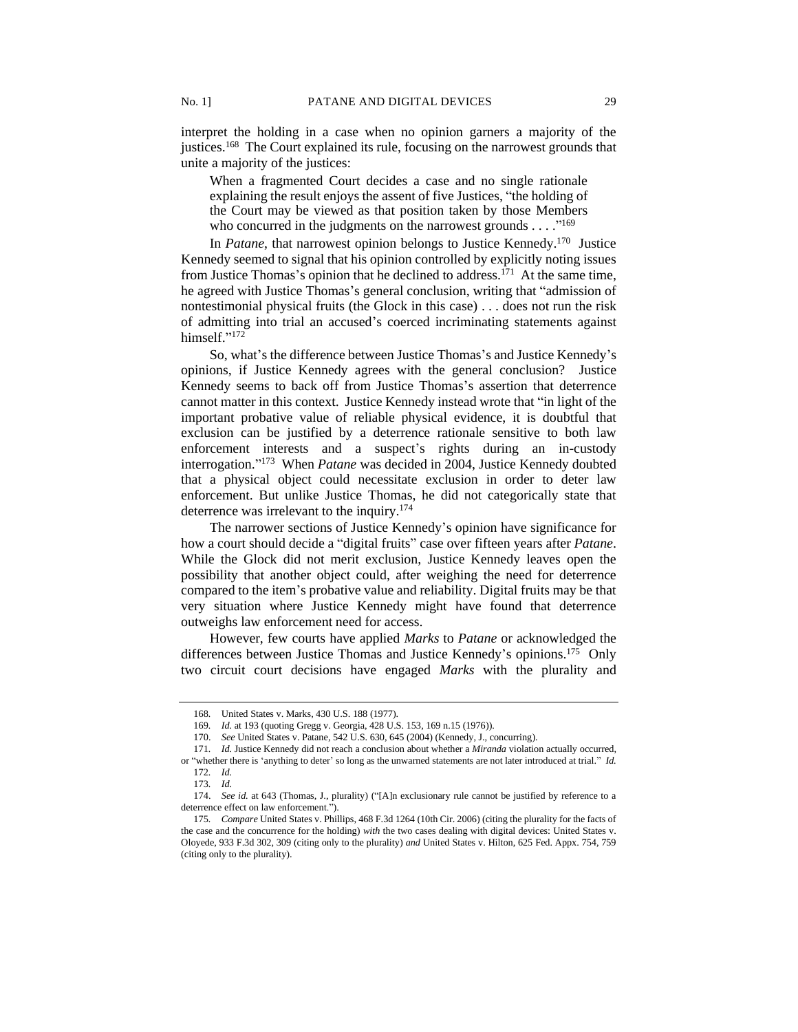interpret the holding in a case when no opinion garners a majority of the justices.<sup>168</sup> The Court explained its rule, focusing on the narrowest grounds that unite a majority of the justices:

When a fragmented Court decides a case and no single rationale explaining the result enjoys the assent of five Justices, "the holding of the Court may be viewed as that position taken by those Members who concurred in the judgments on the narrowest grounds  $\dots$ ."<sup>169</sup>

In *Patane*, that narrowest opinion belongs to Justice Kennedy.<sup>170</sup> Justice Kennedy seemed to signal that his opinion controlled by explicitly noting issues from Justice Thomas's opinion that he declined to address.<sup>171</sup> At the same time, he agreed with Justice Thomas's general conclusion, writing that "admission of nontestimonial physical fruits (the Glock in this case) . . . does not run the risk of admitting into trial an accused's coerced incriminating statements against himself."<sup>172</sup>

So, what's the difference between Justice Thomas's and Justice Kennedy's opinions, if Justice Kennedy agrees with the general conclusion? Justice Kennedy seems to back off from Justice Thomas's assertion that deterrence cannot matter in this context. Justice Kennedy instead wrote that "in light of the important probative value of reliable physical evidence, it is doubtful that exclusion can be justified by a deterrence rationale sensitive to both law enforcement interests and a suspect's rights during an in-custody interrogation." 173 When *Patane* was decided in 2004, Justice Kennedy doubted that a physical object could necessitate exclusion in order to deter law enforcement. But unlike Justice Thomas, he did not categorically state that deterrence was irrelevant to the inquiry.<sup>174</sup>

The narrower sections of Justice Kennedy's opinion have significance for how a court should decide a "digital fruits" case over fifteen years after *Patane*. While the Glock did not merit exclusion, Justice Kennedy leaves open the possibility that another object could, after weighing the need for deterrence compared to the item's probative value and reliability. Digital fruits may be that very situation where Justice Kennedy might have found that deterrence outweighs law enforcement need for access.

However, few courts have applied *Marks* to *Patane* or acknowledged the differences between Justice Thomas and Justice Kennedy's opinions.<sup>175</sup> Only two circuit court decisions have engaged *Marks* with the plurality and

<sup>168</sup>*.* United States v. Marks, 430 U.S. 188 (1977).

<sup>169</sup>*. Id.* at 193 (quoting Gregg v. Georgia, 428 U.S. 153, 169 n.15 (1976)).

<sup>170.</sup> *See* United States v. Patane, 542 U.S. 630, 645 (2004) (Kennedy, J., concurring).

<sup>171</sup>*. Id.* Justice Kennedy did not reach a conclusion about whether a *Miranda* violation actually occurred, or "whether there is 'anything to deter' so long as the unwarned statements are not later introduced at trial." *Id.*

<sup>172</sup>*. Id.*

<sup>173</sup>*. Id.*

<sup>174.</sup> *See id.* at 643 (Thomas, J., plurality) ("[A]n exclusionary rule cannot be justified by reference to a deterrence effect on law enforcement.").

<sup>175</sup>*. Compare* United States v. Phillips, 468 F.3d 1264 (10th Cir. 2006) (citing the plurality for the facts of the case and the concurrence for the holding) *with* the two cases dealing with digital devices: United States v. Oloyede, 933 F.3d 302, 309 (citing only to the plurality) *and* United States v. Hilton, 625 Fed. Appx. 754, 759 (citing only to the plurality).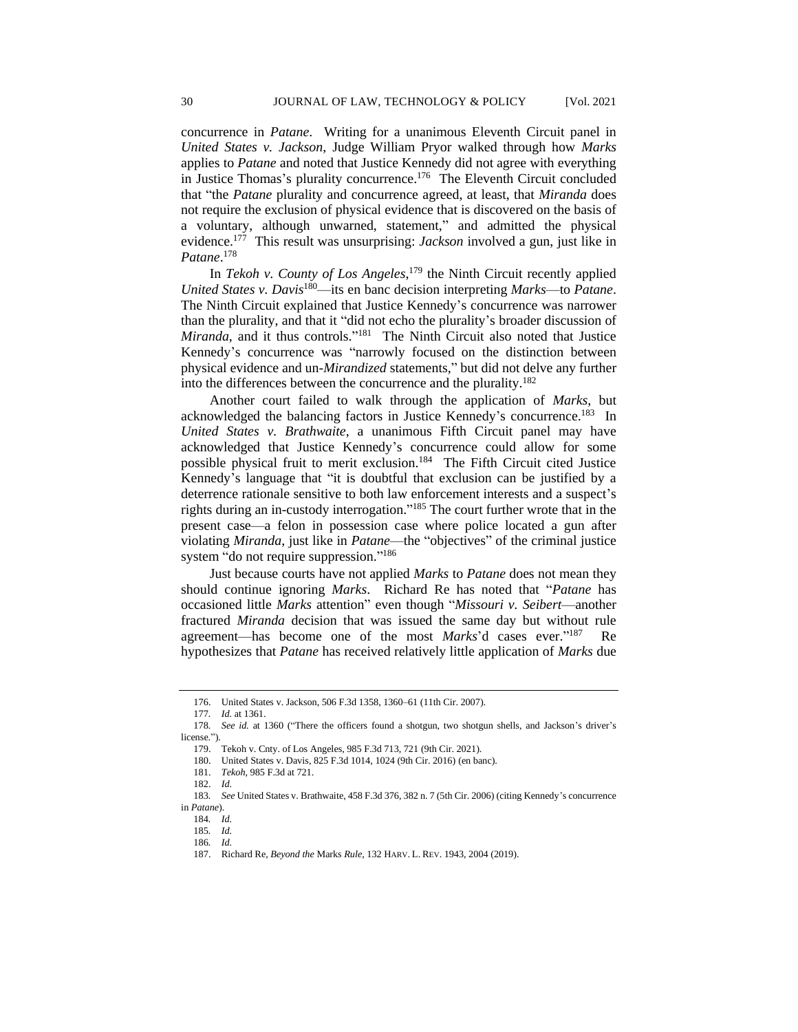concurrence in *Patane*. Writing for a unanimous Eleventh Circuit panel in *United States v. Jackson*, Judge William Pryor walked through how *Marks* applies to *Patane* and noted that Justice Kennedy did not agree with everything in Justice Thomas's plurality concurrence.<sup>176</sup> The Eleventh Circuit concluded that "the *Patane* plurality and concurrence agreed, at least, that *Miranda* does not require the exclusion of physical evidence that is discovered on the basis of a voluntary, although unwarned, statement," and admitted the physical evidence.<sup>177</sup> This result was unsurprising: *Jackson* involved a gun, just like in *Patane*. 178

In *Tekoh v. County of Los Angeles*, <sup>179</sup> the Ninth Circuit recently applied *United States v. Davis*<sup>180</sup>—its en banc decision interpreting *Marks*—to *Patane*. The Ninth Circuit explained that Justice Kennedy's concurrence was narrower than the plurality, and that it "did not echo the plurality's broader discussion of Miranda, and it thus controls."<sup>181</sup> The Ninth Circuit also noted that Justice Kennedy's concurrence was "narrowly focused on the distinction between physical evidence and un-*Mirandized* statements," but did not delve any further into the differences between the concurrence and the plurality.<sup>182</sup>

Another court failed to walk through the application of *Marks*, but acknowledged the balancing factors in Justice Kennedy's concurrence.<sup>183</sup> In *United States v. Brathwaite*, a unanimous Fifth Circuit panel may have acknowledged that Justice Kennedy's concurrence could allow for some possible physical fruit to merit exclusion.<sup>184</sup> The Fifth Circuit cited Justice Kennedy's language that "it is doubtful that exclusion can be justified by a deterrence rationale sensitive to both law enforcement interests and a suspect's rights during an in-custody interrogation." <sup>185</sup> The court further wrote that in the present case—a felon in possession case where police located a gun after violating *Miranda*, just like in *Patane*—the "objectives" of the criminal justice system "do not require suppression."<sup>186</sup>

Just because courts have not applied *Marks* to *Patane* does not mean they should continue ignoring *Marks*. Richard Re has noted that "*Patane* has occasioned little *Marks* attention" even though "*Missouri v. Seibert*—another fractured *Miranda* decision that was issued the same day but without rule agreement—has become one of the most *Marks*'d cases ever."<sup>187</sup> Re hypothesizes that *Patane* has received relatively little application of *Marks* due

<sup>176.</sup> United States v. Jackson, 506 F.3d 1358, 1360–61 (11th Cir. 2007).

<sup>177</sup>*. Id.* at 1361.

<sup>178</sup>*. See id.* at 1360 ("There the officers found a shotgun, two shotgun shells, and Jackson's driver's license.").

<sup>179.</sup> Tekoh v. Cnty. of Los Angeles, 985 F.3d 713, 721 (9th Cir. 2021).

<sup>180.</sup> United States v. Davis, 825 F.3d 1014, 1024 (9th Cir. 2016) (en banc).

<sup>181.</sup> *Tekoh*, 985 F.3d at 721.

<sup>182.</sup> *Id.*

<sup>183</sup>*. See* United States v. Brathwaite, 458 F.3d 376, 382 n. 7 (5th Cir. 2006) (citing Kennedy's concurrence in *Patane*).

<sup>184</sup>*. Id.*

<sup>185</sup>*. Id.*

<sup>186</sup>*. Id.*

<sup>187.</sup> Richard Re, *Beyond the* Marks *Rule*, 132 HARV. L. REV. 1943, 2004 (2019).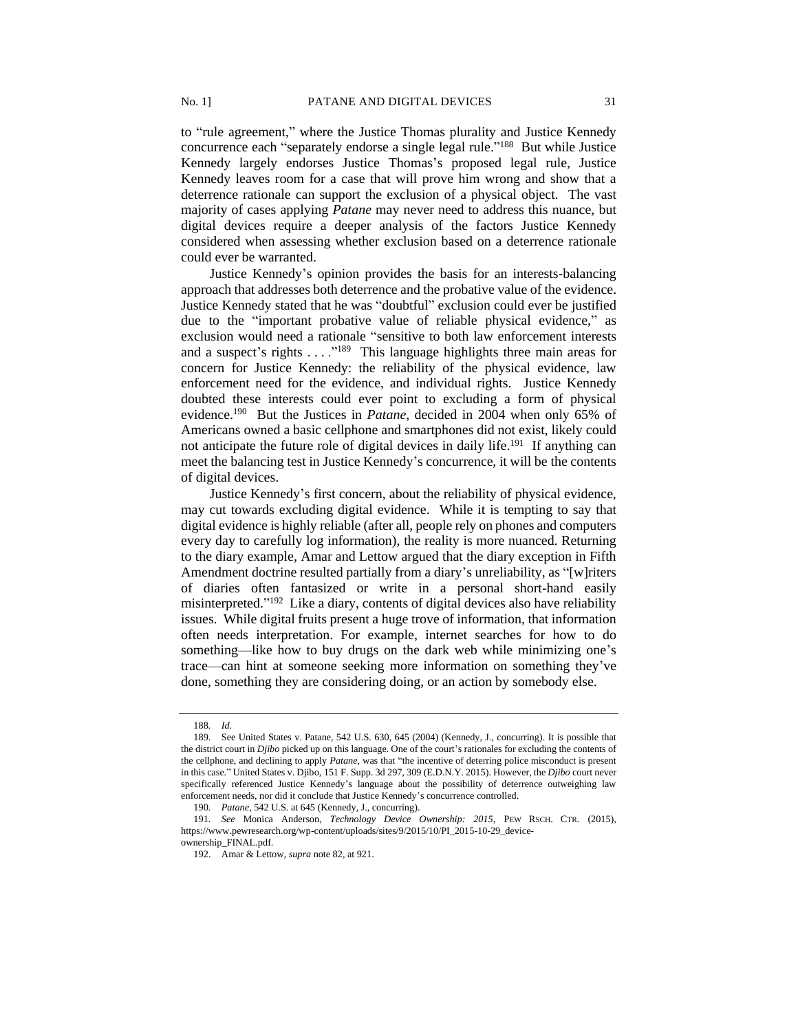to "rule agreement," where the Justice Thomas plurality and Justice Kennedy concurrence each "separately endorse a single legal rule." <sup>188</sup> But while Justice Kennedy largely endorses Justice Thomas's proposed legal rule, Justice Kennedy leaves room for a case that will prove him wrong and show that a deterrence rationale can support the exclusion of a physical object. The vast majority of cases applying *Patane* may never need to address this nuance, but digital devices require a deeper analysis of the factors Justice Kennedy considered when assessing whether exclusion based on a deterrence rationale could ever be warranted.

Justice Kennedy's opinion provides the basis for an interests-balancing approach that addresses both deterrence and the probative value of the evidence. Justice Kennedy stated that he was "doubtful" exclusion could ever be justified due to the "important probative value of reliable physical evidence," as exclusion would need a rationale "sensitive to both law enforcement interests and a suspect's rights  $\dots$ <sup>189</sup> This language highlights three main areas for concern for Justice Kennedy: the reliability of the physical evidence, law enforcement need for the evidence, and individual rights. Justice Kennedy doubted these interests could ever point to excluding a form of physical evidence.<sup>190</sup> But the Justices in *Patane*, decided in 2004 when only 65% of Americans owned a basic cellphone and smartphones did not exist, likely could not anticipate the future role of digital devices in daily life.<sup>191</sup> If anything can meet the balancing test in Justice Kennedy's concurrence, it will be the contents of digital devices.

Justice Kennedy's first concern, about the reliability of physical evidence, may cut towards excluding digital evidence. While it is tempting to say that digital evidence is highly reliable (after all, people rely on phones and computers every day to carefully log information), the reality is more nuanced. Returning to the diary example, Amar and Lettow argued that the diary exception in Fifth Amendment doctrine resulted partially from a diary's unreliability, as "[w]riters of diaries often fantasized or write in a personal short-hand easily misinterpreted."<sup>192</sup> Like a diary, contents of digital devices also have reliability issues. While digital fruits present a huge trove of information, that information often needs interpretation. For example, internet searches for how to do something—like how to buy drugs on the dark web while minimizing one's trace—can hint at someone seeking more information on something they've done, something they are considering doing, or an action by somebody else.

<sup>188</sup>*. Id.*

<sup>189</sup>*.* See United States v. Patane, 542 U.S. 630, 645 (2004) (Kennedy, J., concurring). It is possible that the district court in *Djibo* picked up on this language. One of the court's rationales for excluding the contents of the cellphone, and declining to apply *Patane*, was that "the incentive of deterring police misconduct is present in this case." United States v. Djibo, 151 F. Supp. 3d 297, 309 (E.D.N.Y. 2015). However, the *Djibo* court never specifically referenced Justice Kennedy's language about the possibility of deterrence outweighing law enforcement needs, nor did it conclude that Justice Kennedy's concurrence controlled.

<sup>190</sup>*. Patane*, 542 U.S. at 645 (Kennedy, J., concurring).

<sup>191</sup>*. See* Monica Anderson, *Technology Device Ownership: 2015*, PEW RSCH. CTR. (2015), https://www.pewresearch.org/wp-content/uploads/sites/9/2015/10/PI\_2015-10-29\_device-

ownership\_FINAL.pdf.

<sup>192.</sup> Amar & Lettow, *supra* note 82, at 921.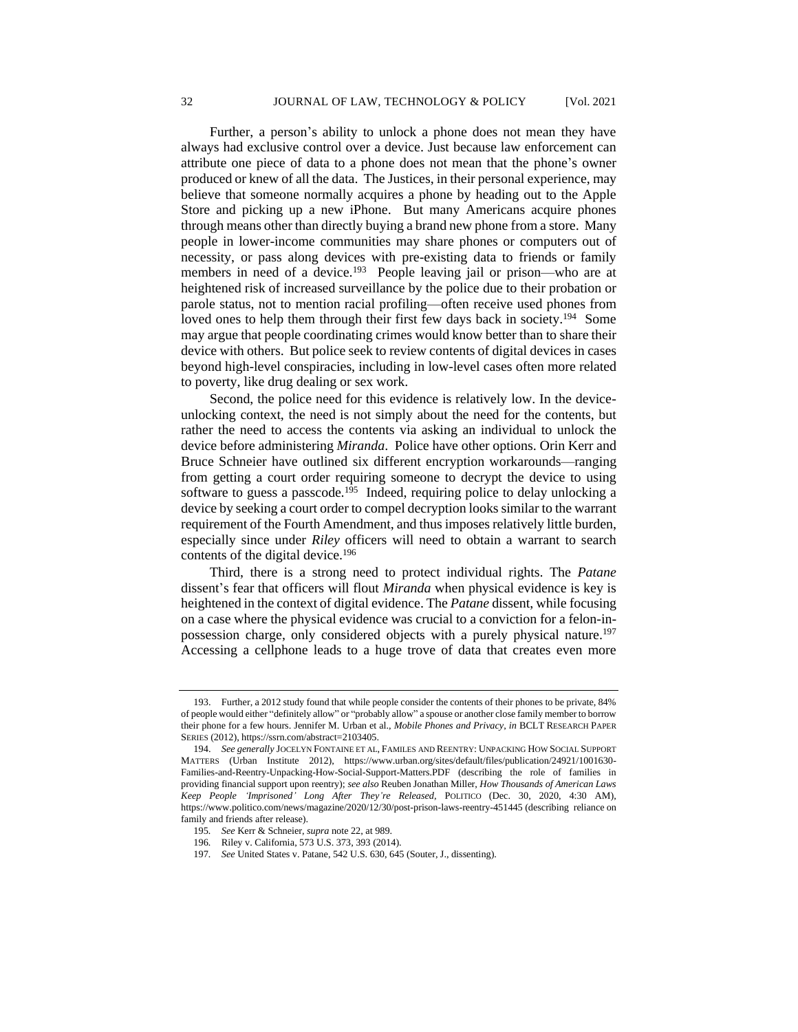Further, a person's ability to unlock a phone does not mean they have always had exclusive control over a device. Just because law enforcement can attribute one piece of data to a phone does not mean that the phone's owner produced or knew of all the data. The Justices, in their personal experience, may believe that someone normally acquires a phone by heading out to the Apple Store and picking up a new iPhone. But many Americans acquire phones through means other than directly buying a brand new phone from a store. Many people in lower-income communities may share phones or computers out of necessity, or pass along devices with pre-existing data to friends or family members in need of a device.<sup>193</sup> People leaving jail or prison—who are at heightened risk of increased surveillance by the police due to their probation or parole status, not to mention racial profiling—often receive used phones from loved ones to help them through their first few days back in society.<sup>194</sup> Some may argue that people coordinating crimes would know better than to share their device with others. But police seek to review contents of digital devices in cases beyond high-level conspiracies, including in low-level cases often more related to poverty, like drug dealing or sex work.

Second, the police need for this evidence is relatively low. In the deviceunlocking context, the need is not simply about the need for the contents, but rather the need to access the contents via asking an individual to unlock the device before administering *Miranda*. Police have other options. Orin Kerr and Bruce Schneier have outlined six different encryption workarounds—ranging from getting a court order requiring someone to decrypt the device to using software to guess a passcode.<sup>195</sup> Indeed, requiring police to delay unlocking a device by seeking a court order to compel decryption looks similar to the warrant requirement of the Fourth Amendment, and thus imposes relatively little burden, especially since under *Riley* officers will need to obtain a warrant to search contents of the digital device.<sup>196</sup>

Third, there is a strong need to protect individual rights. The *Patane* dissent's fear that officers will flout *Miranda* when physical evidence is key is heightened in the context of digital evidence. The *Patane* dissent, while focusing on a case where the physical evidence was crucial to a conviction for a felon-inpossession charge, only considered objects with a purely physical nature.<sup>197</sup> Accessing a cellphone leads to a huge trove of data that creates even more

197*. See* United States v. Patane, 542 U.S. 630, 645 (Souter, J., dissenting).

<sup>193.</sup> Further, a 2012 study found that while people consider the contents of their phones to be private, 84% of people would either "definitely allow" or "probably allow" a spouse or another close family member to borrow their phone for a few hours. Jennifer M. Urban et al., *Mobile Phones and Privacy*, *in* BCLT RESEARCH PAPER SERIES (2012), https://ssrn.com/abstract=2103405.

<sup>194.</sup> *See generally* JOCELYN FONTAINE ET AL, FAMILES AND REENTRY: UNPACKING HOW SOCIAL SUPPORT MATTERS (Urban Institute 2012), https://www.urban.org/sites/default/files/publication/24921/1001630- Families-and-Reentry-Unpacking-How-Social-Support-Matters.PDF (describing the role of families in providing financial support upon reentry); *see also* Reuben Jonathan Miller, *How Thousands of American Laws Keep People 'Imprisoned' Long After They're Released*, POLITICO (Dec. 30, 2020, 4:30 AM), https://www.politico.com/news/magazine/2020/12/30/post-prison-laws-reentry-451445 (describing reliance on family and friends after release).

<sup>195</sup>*. See* Kerr & Schneier, *supra* note 22, at 989.

<sup>196</sup>*.* Riley v. California, 573 U.S. 373, 393 (2014).